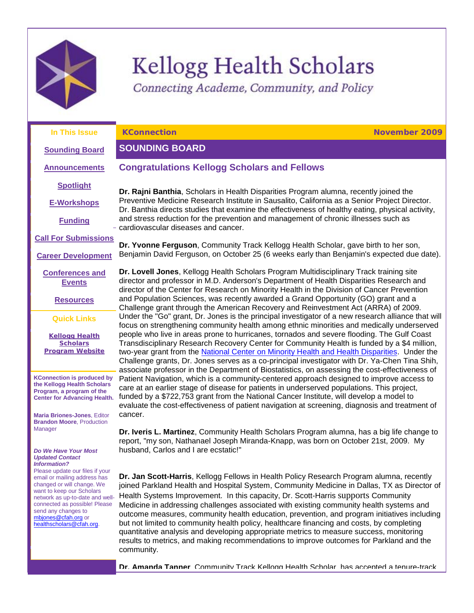

# **Kellogg Health Scholars**

Connecting Academe, Community, and Policy

**Congratulations Kellogg Scholars and Fellows**

**In This Issue**

<span id="page-0-1"></span>**KConnection November 2009**

# <span id="page-0-0"></span>**SOUNDING BOARD**

**[Sounding Board](#page-0-0) [Announcements](#page-1-0)**

**[Spotlight](#page-1-1)**

**[E-Workshops](#page-2-0)**

**[Funding](#page-2-1)**

**[Call For Submissions](#page-6-0)**

**[Career Development](#page-9-0)**

**[Conferences and](#page-22-0)  [Events](#page-22-0)**

**[Resources](#page-22-1)**

**Quick Links**

**[Kellogg Health](http://rs6.net/tn.jsp?et=1102823849258&s=1103&e=001IepDW2alSJLc75Oe-keSaUbOIA-KXvFnH52uKCZyJdSpnsR1-UMQ6E3POW7gta1EGUG4AuszhdgPg5a9UAK1PB3d9-rrCJn3RYfdgYmEzl-ysiT7w67pWywxXmvGEvdi)  [Scholars](http://rs6.net/tn.jsp?et=1102823849258&s=1103&e=001IepDW2alSJLc75Oe-keSaUbOIA-KXvFnH52uKCZyJdSpnsR1-UMQ6E3POW7gta1EGUG4AuszhdgPg5a9UAK1PB3d9-rrCJn3RYfdgYmEzl-ysiT7w67pWywxXmvGEvdi)  [Program](http://rs6.net/tn.jsp?et=1102823849258&s=1103&e=001IepDW2alSJLc75Oe-keSaUbOIA-KXvFnH52uKCZyJdSpnsR1-UMQ6E3POW7gta1EGUG4AuszhdgPg5a9UAK1PB3d9-rrCJn3RYfdgYmEzl-ysiT7w67pWywxXmvGEvdi) Website**

**KConnection is produced by the Kellogg Health Scholars Program, a program of the Center for Advancing Health.**

**Maria Briones-Jones**, Editor **Brandon Moore**, Production Manager

#### *Do We Have Your Most Updated Contact Information?*

Please update our files if your email or mailing address has changed or will change. We want to keep our Scholars network as up-to-date and wellconnected as possible! Please send any changes to [mbjones@cfah.org](mailto:mbjones@cfah.org) or [healthscholars@cfah.org.](mailto:healthscholars@cfah.org) 

**Dr. Rajni Banthia**, Scholars in Health Disparities Program alumna, recently joined the Preventive Medicine Research Institute in Sausalito, California as a Senior Project Director. Dr. Banthia directs studies that examine the effectiveness of healthy eating, physical activity, and stress reduction for the prevention and management of chronic illnesses such as cardiovascular diseases and cancer.

**Dr. Yvonne Ferguson**, Community Track Kellogg Health Scholar, gave birth to her son, Benjamin David Ferguson, on October 25 (6 weeks early than Benjamin's expected due date).

**Dr. Lovell Jones**, Kellogg Health Scholars Program Multidisciplinary Track training site director and professor in M.D. Anderson's Department of Health Disparities Research and director of the Center for Research on Minority Health in the Division of Cancer Prevention and Population Sciences, was recently awarded a Grand Opportunity (GO) grant and a Challenge grant through the American Recovery and Reinvestment Act (ARRA) of 2009. Under the "Go" grant, Dr. Jones is the principal investigator of a new research alliance that will focus on strengthening community health among ethnic minorities and medically underserved people who live in areas prone to hurricanes, tornados and severe flooding. The Gulf Coast Transdisciplinary Research Recovery Center for Community Health is funded by a \$4 million, two-year grant from the [National Center on Minority Health and Health Disparities.](http://rs6.net/tn.jsp?et=1102823849258&s=1103&e=001IepDW2alSJJyOS6KIxybFfHguT-NkCCvgQWYztljQMdOl2QYWtaYbsuyGULBiiFw5RnQBKFb8QYJ582hh3OnTnefHvsTmXOxv-6jU83hllIWDQP3pO7nUw==) Under the Challenge grants, Dr. Jones serves as a co-principal investigator with Dr. Ya-Chen Tina Shih, associate professor in the Department of Biostatistics, on assessing the cost-effectiveness of Patient Navigation, which is a community-centered approach designed to improve access to care at an earlier stage of disease for patients in underserved populations. This project, funded by a \$722,753 grant from the National Cancer Institute, will develop a model to evaluate the cost-effectiveness of patient navigation at screening, diagnosis and treatment of cancer.

**Dr. Iveris L. Martinez**, Community Health Scholars Program alumna, has a big life change to report, "my son, Nathanael Joseph Miranda-Knapp, was born on October 21st, 2009. My husband, Carlos and I are ecstatic!"

**Dr. Jan Scott-Harris**, Kellogg Fellows in Health Policy Research Program alumna, recently joined Parkland Health and Hospital System, Community Medicine in Dallas, TX as Director of Health Systems Improvement. In this capacity, Dr. Scott-Harris supports Community Medicine in addressing challenges associated with existing community health systems and outcome measures, community health education, prevention, and program initiatives including but not limited to community health policy, healthcare financing and costs, by completing quantitative analysis and developing appropriate metrics to measure success, monitoring results to metrics, and making recommendations to improve outcomes for Parkland and the community.

Dr. Amanda Tanner, Community Track Kellogg Health Scholar, has accepted a tenure-track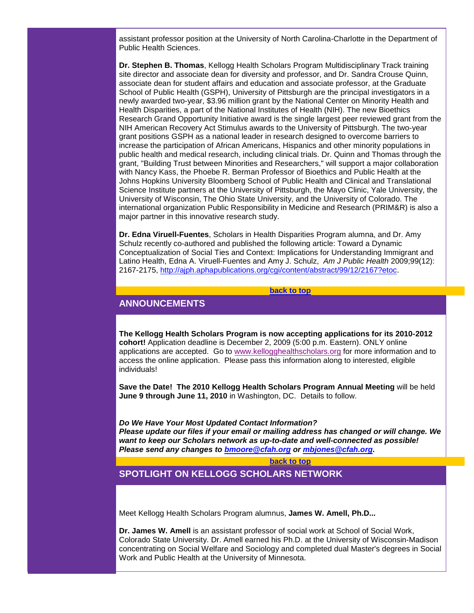assistant professor position at the University of North Carolina-Charlotte in the Department of Public Health Sciences.

**Dr. Stephen B. Thomas**, Kellogg Health Scholars Program Multidisciplinary Track training site director and associate dean for diversity and professor, and Dr. Sandra Crouse Quinn, associate dean for student affairs and education and associate professor, at the Graduate School of Public Health (GSPH), University of Pittsburgh are the principal investigators in a newly awarded two-year, \$3.96 million grant by the National Center on Minority Health and Health Disparities, a part of the National Institutes of Health (NIH). The new Bioethics Research Grand Opportunity Initiative award is the single largest peer reviewed grant from the NIH American Recovery Act Stimulus awards to the University of Pittsburgh. The two-year grant positions GSPH as a national leader in research designed to overcome barriers to increase the participation of African Americans, Hispanics and other minority populations in public health and medical research, including clinical trials. Dr. Quinn and Thomas through the grant, "Building Trust between Minorities and Researchers," will support a major collaboration with Nancy Kass, the Phoebe R. Berman Professor of Bioethics and Public Health at the Johns Hopkins University Bloomberg School of Public Health and Clinical and Translational Science Institute partners at the University of Pittsburgh, the Mayo Clinic, Yale University, the University of Wisconsin, The Ohio State University, and the University of Colorado. The international organization Public Responsibility in Medicine and Research (PRIM&R) is also a major partner in this innovative research study.

**Dr. Edna Viruell-Fuentes**, Scholars in Health Disparities Program alumna, and Dr. Amy Schulz recently co-authored and published the following article: Toward a Dynamic Conceptualization of Social Ties and Context: Implications for Understanding Immigrant and Latino Health, Edna A. Viruell-Fuentes and Amy J. Schulz, *Am J Public Health* 2009;99(12): 2167-2175, [http://ajph.aphapublications.org/cgi/content/abstract/99/12/2167?etoc.](http://rs6.net/tn.jsp?et=1102823849258&s=1103&e=001IepDW2alSJLkSjoXtLVdoBD6c5quxVIWJVe0KhcQpZ2FJSahcRUc5OVG2f81c08cOQ9jVDpiP24tJ9skcZYC7OX4tNBjd55yuEwrd7CYR6IF2IEBL34VqS7YyPEV49_GMVIa4FGZ53fV_L9ByNu-Zn-rVF4WceYo5E7tuvtLnSHzKfcRl2hIHBymRJ80XLr2)

#### **[back to top](#page-0-1)**

# <span id="page-1-0"></span>**ANNOUNCEMENTS**

**The Kellogg Health Scholars Program is now accepting applications for its 2010-2012 cohort!** Application deadline is December 2, 2009 (5:00 p.m. Eastern). ONLY online applications are accepted. Go to [www.kellogghealthscholars.org](http://rs6.net/tn.jsp?et=1102823849258&s=1103&e=001IepDW2alSJLc75Oe-keSaUbOIA-KXvFnH52uKCZyJdSpnsR1-UMQ6E3POW7gta1EGUG4AuszhdgPg5a9UAK1PB3d9-rrCJn3RYfdgYmEzl-ysiT7w67pWywxXmvGEvdi) for more information and to access the online application. Please pass this information along to interested, eligible individuals!

**Save the Date! The 2010 Kellogg Health Scholars Program Annual Meeting** will be held **June 9 through June 11, 2010** in Washington, DC. Details to follow.

*Do We Have Your Most Updated Contact Information? Please update our files if your email or mailing address has changed or will change. We want to keep our Scholars network as up-to-date and well-connected as possible! Please send any changes to [bmoore@cfah.org](mailto:bmoore@cfah.org) or [mbjones@cfah.org.](mailto:mbjones@cfah.org)* 

#### **[back to top](#page-0-1)**

<span id="page-1-1"></span>**SPOTLIGHT ON KELLOGG SCHOLARS NETWORK**

Meet Kellogg Health Scholars Program alumnus, **James W. Amell, Ph.D...**

**Dr. James W. Amell** is an assistant professor of social work at School of Social Work, Colorado State University. Dr. Amell earned his Ph.D. at the University of Wisconsin-Madison concentrating on Social Welfare and Sociology and completed dual Master's degrees in Social Work and Public Health at the University of Minnesota.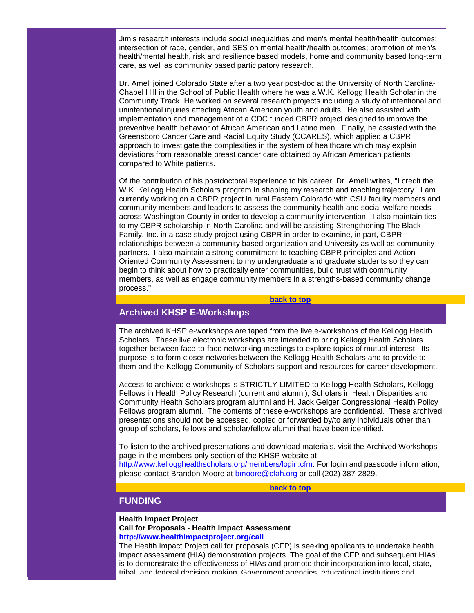Jim's research interests include social inequalities and men's mental health/health outcomes; intersection of race, gender, and SES on mental health/health outcomes; promotion of men's health/mental health, risk and resilience based models, home and community based long-term care, as well as community based participatory research.

Dr. Amell joined Colorado State after a two year post-doc at the University of North Carolina-Chapel Hill in the School of Public Health where he was a W.K. Kellogg Health Scholar in the Community Track. He worked on several research projects including a study of intentional and unintentional injuries affecting African American youth and adults. He also assisted with implementation and management of a CDC funded CBPR project designed to improve the preventive health behavior of African American and Latino men. Finally, he assisted with the Greensboro Cancer Care and Racial Equity Study (CCARES), which applied a CBPR approach to investigate the complexities in the system of healthcare which may explain deviations from reasonable breast cancer care obtained by African American patients compared to White patients.

Of the contribution of his postdoctoral experience to his career, Dr. Amell writes, "I credit the W.K. Kellogg Health Scholars program in shaping my research and teaching trajectory. I am currently working on a CBPR project in rural Eastern Colorado with CSU faculty members and community members and leaders to assess the community health and social welfare needs across Washington County in order to develop a community intervention. I also maintain ties to my CBPR scholarship in North Carolina and will be assisting Strengthening The Black Family, Inc. in a case study project using CBPR in order to examine, in part, CBPR relationships between a community based organization and University as well as community partners. I also maintain a strong commitment to teaching CBPR principles and Action-Oriented Community Assessment to my undergraduate and graduate students so they can begin to think about how to practically enter communities, build trust with community members, as well as engage community members in a strengths-based community change process."

#### **[back to top](#page-0-1)**

# <span id="page-2-0"></span>**Archived KHSP E-Workshops**

The archived KHSP e-workshops are taped from the live e-workshops of the Kellogg Health Scholars. These live electronic workshops are intended to bring Kellogg Health Scholars together between face-to-face networking meetings to explore topics of mutual interest. Its purpose is to form closer networks between the Kellogg Health Scholars and to provide to them and the Kellogg Community of Scholars support and resources for career development.

Access to archived e-workshops is STRICTLY LIMITED to Kellogg Health Scholars, Kellogg Fellows in Health Policy Research (current and alumni), Scholars in Health Disparities and Community Health Scholars program alumni and H. Jack Geiger Congressional Health Policy Fellows program alumni. The contents of these e-workshops are confidential. These archived presentations should not be accessed, copied or forwarded by/to any individuals other than group of scholars, fellows and scholar/fellow alumni that have been identified.

To listen to the archived presentations and download materials, visit the Archived Workshops page in the members-only section of the KHSP website at

[http://www.kellogghealthscholars.org/members/login.cfm.](http://rs6.net/tn.jsp?et=1102823849258&s=1103&e=001IepDW2alSJJaDwTvxppF1VqbEuuQfecFVlgDVHuwQh8_j93Zx_OsMFou__j9CS3wSsswO_hWYjc2GEzSuysP4Z5ns1PW_JadW762mN2ahwcZKdNKHaEagHeu42VMjNmSwgbC3sAMJj6VzdSRFxKTfWMEctdzxzMS) For login and passcode information, please contact Brandon Moore at [bmoore@cfah.org](mailto:bmoore@cfah.org) or call (202) 387-2829.

#### **[back to top](#page-0-1)**

# <span id="page-2-1"></span>**FUNDING**

#### **Health Impact Project Call for Proposals - Health Impact Assessment [http://www.healthimpactproject.org/call](http://rs6.net/tn.jsp?et=1102823849258&s=1103&e=001IepDW2alSJJnlTyA8YaDWrXvT6DqbzG6IpSQbZT3UYYAaqDbTFzQhJRvooWkU0uEJ1XeoASvg3gLa_AUfLpXFgZx0CYcE5dk-rYb5OQuRczwIzcrlgCF9HC22KP9547V5B_bElLsun0=)**

The Health Impact Project call for proposals (CFP) is seeking applicants to undertake health impact assessment (HIA) demonstration projects. The goal of the CFP and subsequent HIAs is to demonstrate the effectiveness of HIAs and promote their incorporation into local, state, tribal, and federal decision-making. Government agencies, educational institutions and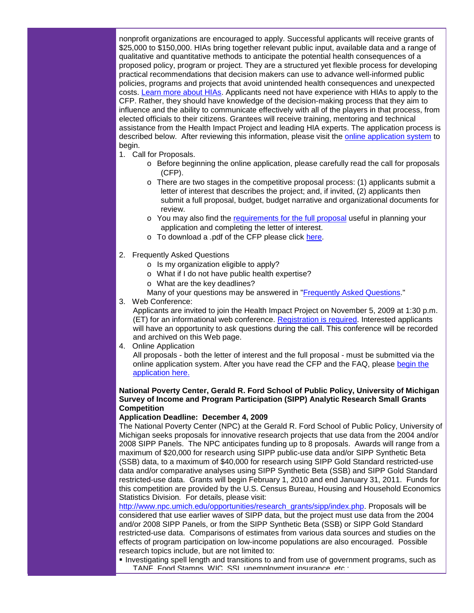nonprofit organizations are encouraged to apply. Successful applicants will receive grants of \$25,000 to \$150,000. HIAs bring together relevant public input, available data and a range of qualitative and quantitative methods to anticipate the potential health consequences of a proposed policy, program or project. They are a structured yet flexible process for developing practical recommendations that decision makers can use to advance well-informed public policies, programs and projects that avoid unintended health consequences and unexpected costs. [Learn more about HIAs.](http://rs6.net/tn.jsp?et=1102823849258&s=1103&e=001IepDW2alSJIDEZM6tpJpQOpUCmessCLKnKMMvLWuqjARN0K3TAwEPykBSUmdt-dX1agxCBPqrP2OQpsNxmaobcEEwn-4FFNcLPu4noSdSJQ1roojrrAYZdexP_BHrgDC7s2CpiZ_fwY=) Applicants need not have experience with HIAs to apply to the CFP. Rather, they should have knowledge of the decision-making process that they aim to influence and the ability to communicate effectively with all of the players in that process, from elected officials to their citizens. Grantees will receive training, mentoring and technical assistance from the Health Impact Project and leading HIA experts. The application process is described below. After reviewing this information, please visit the [online application system](http://rs6.net/tn.jsp?et=1102823849258&s=1103&e=001IepDW2alSJKdCVdE0v0cMfOQyp0LX-8i4fcqEY3EOJSqLDpf0wE10SiqL65CviRmKn4Szw5ytSSUHa5XPr8kGCA6081bwaX_hs44ImbRraqO2s4202drynTFYZ6ucEQH) to begin.

- 1. Call for Proposals.
	- o Before beginning the online application, please carefully read the call for proposals (CFP).
	- $\circ$  There are two stages in the competitive proposal process: (1) applicants submit a letter of interest that describes the project; and, if invited, (2) applicants then submit a full proposal, budget, budget narrative and organizational documents for review.
	- o You may also find the [requirements for the full proposal](http://rs6.net/tn.jsp?et=1102823849258&s=1103&e=001IepDW2alSJJOsbw6Zmw8pPEBf54bntTxapPGLD1f1dcj-JcHMVane6PP0sxUQXdoCpuSD0-84_l80BHctkafsvzXbN2NKsmZjbsZddKMb7VvO2dK-NS7GiAXgYohfymdP1we7ml53Tf_lEKf-R1UbsUL_OLTifh3r5Se1GBK9Zrg-LFOeIr3bgIvKkLNAJUlFkpH5VWnvS910sLJsFC-HQ==) useful in planning your application and completing the letter of interest.
	- o To download a .pdf of the CFP please click [here.](http://rs6.net/tn.jsp?et=1102823849258&s=1103&e=001IepDW2alSJKsDzcKl4Su6SyhmuXGT55XnMZ3tuIcscPs0aMnAB-CHAs9HLa2dILUfRE5M__hDBe2ILGRIXpNaLDoNTNrOdTim0kt2jEK-RYi8mOhpvcJiZDDcswelnaAbYG905e7keNKsYgeFmOHX34_JFOLwqdO4wJ9zZZxsTFygg90BXMwQbi2TyK4wQf23iqW0JPc72fusKfJu26bvg==)
- 2. Frequently Asked Questions
	- o Is my organization eligible to apply?
	- o What if I do not have public health expertise?
	- o What are the key deadlines?
	- Many of your questions may be answered in ["Frequently Asked Questions.](http://rs6.net/tn.jsp?et=1102823849258&s=1103&e=001IepDW2alSJKn9KIBHXmrxoGeFeCIBM_O1_wabvCrvySqrQF3wtftzakawZ7_lo7NsUckIpK-50XnjOqwf8F1LHmWYwszV_9Nn6uzg04lwbVJxJsqpcEiGOZq1p_qs_fDWPJHKnCPoDIzjpPOsWQpcoOdffmwX4CoaVGx1dZmhjMKkhp486oQ1QbMAbdmXdOPq58KubbE2vvziL-Mj9nVCQ==)"
- 3. Web Conference:

Applicants are invited to join the Health Impact Project on November 5, 2009 at 1:30 p.m. (ET) for an informational web conference. [Registration](http://rs6.net/tn.jsp?et=1102823849258&s=1103&e=001IepDW2alSJId84W4jDe5OBE7rn3KKKPFS5FDapI7hejYYvUIeLhptJSzBveoAnvZnAZ0o8wY5nPpG4sE_jdOV-NgBq2P4jvJdramSsd-88KYK4WrokvoOSh6HSS5yCA5_CNdEFyzbqo=) [is required.](http://rs6.net/tn.jsp?et=1102823849258&s=1103&e=001IepDW2alSJId84W4jDe5OBE7rn3KKKPFS5FDapI7hejYYvUIeLhptJSzBveoAnvZnAZ0o8wY5nPpG4sE_jdOV-NgBq2P4jvJdramSsd-88KYK4WrokvoOSh6HSS5yCA5_CNdEFyzbqo=) Interested applicants will have an opportunity to ask questions during the call. This conference will be recorded and archived on this Web page.

4. Online Application

All proposals - both the letter of interest and the full proposal - must be submitted via the online application system. After you have read the CFP and the FAQ, please [begin the](http://rs6.net/tn.jsp?et=1102823849258&s=1103&e=001IepDW2alSJKdCVdE0v0cMfOQyp0LX-8i4fcqEY3EOJSqLDpf0wE10SiqL65CviRmKn4Szw5ytSSUHa5XPr8kGCA6081bwaX_hs44ImbRraqO2s4202drynTFYZ6ucEQH)  [application here.](http://rs6.net/tn.jsp?et=1102823849258&s=1103&e=001IepDW2alSJKdCVdE0v0cMfOQyp0LX-8i4fcqEY3EOJSqLDpf0wE10SiqL65CviRmKn4Szw5ytSSUHa5XPr8kGCA6081bwaX_hs44ImbRraqO2s4202drynTFYZ6ucEQH)

## **National Poverty Center, Gerald R. Ford School of Public Policy, University of Michigan Survey of Income and Program Participation (SIPP) Analytic Research Small Grants Competition**

#### **Application Deadline: December 4, 2009**

The National Poverty Center (NPC) at the Gerald R. Ford School of Public Policy, University of Michigan seeks proposals for innovative research projects that use data from the 2004 and/or 2008 SIPP Panels. The NPC anticipates funding up to 8 proposals. Awards will range from a maximum of \$20,000 for research using SIPP public-use data and/or SIPP Synthetic Beta (SSB) data, to a maximum of \$40,000 for research using SIPP Gold Standard restricted-use data and/or comparative analyses using SIPP Synthetic Beta (SSB) and SIPP Gold Standard restricted-use data. Grants will begin February 1, 2010 and end January 31, 2011. Funds for this competition are provided by the U.S. Census Bureau, Housing and Household Economics Statistics Division*.* For details, please visit:

[http://www.npc.umich.edu/opportunities/research\\_grants/sipp/index.php.](http://rs6.net/tn.jsp?et=1102823849258&s=1103&e=001IepDW2alSJLFJahVSxV64a_N6M8uu0E8twoYnjWoNoCjYrTwQkgwcVUD6JySj5BC0swPI9rgnwxHed8dCH5L8L3Je3EOREyZFc0hGg6R3V3DOaLomQ8ginWyUxCbrAw4fhRm7A8AdOp2HC16CBMPsDDjD2BDuP_ZPNDMApxTE7H5ctFQqNS1sQ==) Proposals will be considered that use earlier waves of SIPP data, but the project must use data from the 2004 and/or 2008 SIPP Panels, or from the SIPP Synthetic Beta (SSB) or SIPP Gold Standard restricted-use data. Comparisons of estimates from various data sources and studies on the effects of program participation on low-income populations are also encouraged. Possible research topics include, but are not limited to:

Investigating spell length and transitions to and from use of government programs, such as TANF, Food Stamps, WIC, SSI, unemployment insurance, etc.;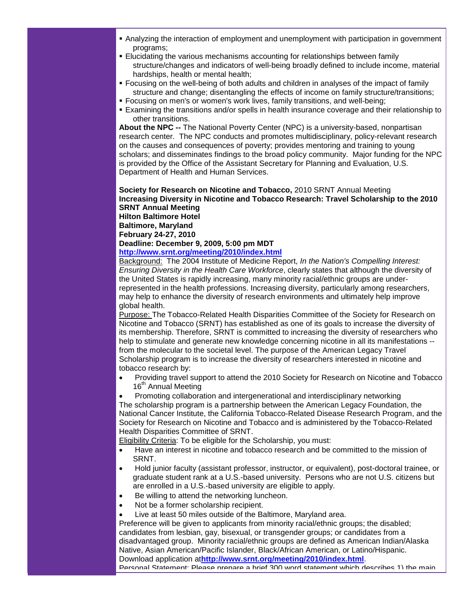- Analyzing the interaction of employment and unemployment with participation in government programs;
- Elucidating the various mechanisms accounting for relationships between family structure/changes and indicators of well-being broadly defined to include income, material hardships, health or mental health;
- Focusing on the well-being of both adults and children in analyses of the impact of family structure and change; disentangling the effects of income on family structure/transitions;
- Focusing on men's or women's work lives, family transitions, and well-being;
- Examining the transitions and/or spells in health insurance coverage and their relationship to other transitions.

**About the NPC --** The National Poverty Center (NPC) is a university-based, nonpartisan research center. The NPC conducts and promotes multidisciplinary, policy-relevant research on the causes and consequences of poverty; provides mentoring and training to young scholars; and disseminates findings to the broad policy community. Major funding for the NPC is provided by the Office of the Assistant Secretary for Planning and Evaluation, U.S. Department of Health and Human Services.

#### **Society for Research on Nicotine and Tobacco,** 2010 SRNT Annual Meeting **Increasing Diversity in Nicotine and Tobacco Research: Travel Scholarship to the 2010 SRNT Annual Meeting Hilton Baltimore Hotel**

**Baltimore, Maryland**

**February 24-27, 2010**

# **Deadline: December 9, 2009, 5:00 pm MDT**

# **[http://www.srnt.org/meeting/2010/index.html](http://rs6.net/tn.jsp?et=1102823849258&s=1103&e=001IepDW2alSJLio4pmEVJ8VQP374enRWbDtZxv8Me3gn3W-DN2iYmswhcSp3nD_o-RfUD3TxAawtGWjWORCA835S0T6YSDrigOJIWdxoGOAzJ9e9fry5A9RfUh2nawiKsQNw15_ahDXLM1Y0Dx5AhTFg==)**

Background: The 2004 Institute of Medicine Report, *In the Nation's Compelling Interest: Ensuring Diversity in the Health Care Workforce*, clearly states that although the diversity of the United States is rapidly increasing, many minority racial/ethnic groups are underrepresented in the health professions. Increasing diversity, particularly among researchers, may help to enhance the diversity of research environments and ultimately help improve global health.

Purpose: The Tobacco-Related Health Disparities Committee of the Society for Research on Nicotine and Tobacco (SRNT) has established as one of its goals to increase the diversity of its membership. Therefore, SRNT is committed to increasing the diversity of researchers who help to stimulate and generate new knowledge concerning nicotine in all its manifestations - from the molecular to the societal level. The purpose of the American Legacy Travel Scholarship program is to increase the diversity of researchers interested in nicotine and tobacco research by:

• Providing travel support to attend the 2010 Society for Research on Nicotine and Tobacco 16<sup>th</sup> Annual Meeting

• Promoting collaboration and intergenerational and interdisciplinary networking The scholarship program is a partnership between the American Legacy Foundation, the National Cancer Institute, the California Tobacco-Related Disease Research Program, and the Society for Research on Nicotine and Tobacco and is administered by the Tobacco-Related Health Disparities Committee of SRNT.

Eligibility Criteria: To be eligible for the Scholarship, you must:

- Have an interest in nicotine and tobacco research and be committed to the mission of SRNT.
- Hold junior faculty (assistant professor, instructor, or equivalent), post-doctoral trainee, or graduate student rank at a U.S.-based university. Persons who are not U.S. citizens but are enrolled in a U.S.-based university are eligible to apply.
- Be willing to attend the networking luncheon.
- Not be a former scholarship recipient.
- Live at least 50 miles outside of the Baltimore, Maryland area.

Preference will be given to applicants from minority racial/ethnic groups; the disabled; candidates from lesbian, gay, bisexual, or transgender groups; or candidates from a disadvantaged group. Minority racial/ethnic groups are defined as American Indian/Alaska Native, Asian American/Pacific Islander, Black/African American, or Latino/Hispanic. Download application at**[http://www.srnt.org/meeting/2010/index.html.](http://rs6.net/tn.jsp?et=1102823849258&s=1103&e=001IepDW2alSJLio4pmEVJ8VQP374enRWbDtZxv8Me3gn3W-DN2iYmswhcSp3nD_o-RfUD3TxAawtGWjWORCA835S0T6YSDrigOJIWdxoGOAzJ9e9fry5A9RfUh2nawiKsQNw15_ahDXLM1Y0Dx5AhTFg==)**

Personal Statement: Please prepare a brief 300 word statement which describes 1) the main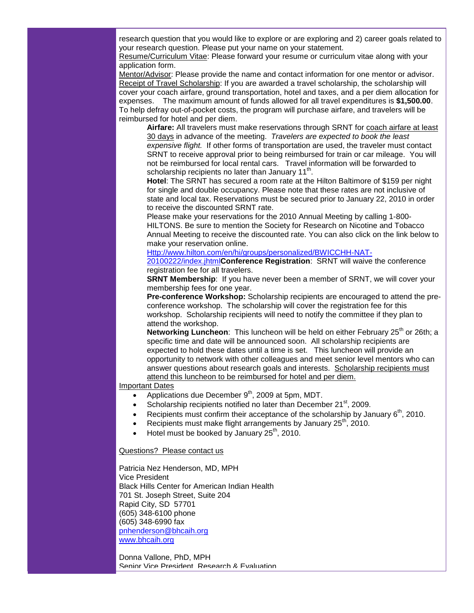research question that you would like to explore or are exploring and 2) career goals related to your research question. Please put your name on your statement.

Resume/Curriculum Vitae: Please forward your resume or curriculum vitae along with your application form.

Mentor/Advisor: Please provide the name and contact information for one mentor or advisor. Receipt of Travel Scholarship: If you are awarded a travel scholarship, the scholarship will cover your coach airfare, ground transportation, hotel and taxes, and a per diem allocation for expenses. The maximum amount of funds allowed for all travel expenditures is **\$1,500.00**. To help defray out-of-pocket costs, the program will purchase airfare, and travelers will be reimbursed for hotel and per diem.

**Airfare:** All travelers must make reservations through SRNT for coach airfare at least 30 days in advance of the meeting. *Travelers are expected to book the least expensive flight.* If other forms of transportation are used, the traveler must contact SRNT to receive approval prior to being reimbursed for train or car mileage. You will not be reimbursed for local rental cars. Travel information will be forwarded to scholarship recipients no later than January  $11<sup>th</sup>$ .

**Hotel**: The SRNT has secured a room rate at the Hilton Baltimore of \$159 per night for single and double occupancy. Please note that these rates are not inclusive of state and local tax. Reservations must be secured prior to January 22, 2010 in order to receive the discounted SRNT rate.

Please make your reservations for the 2010 Annual Meeting by calling 1-800- HILTONS. Be sure to mention the Society for Research on Nicotine and Tobacco Annual Meeting to receive the discounted rate. You can also click on the link below to make your reservation online.

[Http://www.hilton.com/en/hi/groups/personalized/BWICCHH-NAT-](http://rs6.net/tn.jsp?et=1102823849258&s=1103&e=001IepDW2alSJKTPfQWjevTQsUy9BVfst-lSKSms7YBzVJZY-e8bu4iYvSsZzGg1n-4u5LI3vBiF-9KlASOrCjUAGK6jHOK4IY9TWd64tWxe6QVEP4E2tsiwUuQP5wLVzmP4FNtAmAqZyqoTviYYgsEqxbTN5gCzdQCzg5FMJl9lAYu4BM6W1FAYux3-B6mfTovnMlALX2Z6Tc=)

[20100222/index.jhtml](http://rs6.net/tn.jsp?et=1102823849258&s=1103&e=001IepDW2alSJKTPfQWjevTQsUy9BVfst-lSKSms7YBzVJZY-e8bu4iYvSsZzGg1n-4u5LI3vBiF-9KlASOrCjUAGK6jHOK4IY9TWd64tWxe6QVEP4E2tsiwUuQP5wLVzmP4FNtAmAqZyqoTviYYgsEqxbTN5gCzdQCzg5FMJl9lAYu4BM6W1FAYux3-B6mfTovnMlALX2Z6Tc=)**Conference Registration**: SRNT will waive the conference registration fee for all travelers.

**SRNT Membership**: If you have never been a member of SRNT, we will cover your membership fees for one year.

**Pre-conference Workshop:** Scholarship recipients are encouraged to attend the preconference workshop. The scholarship will cover the registration fee for this workshop. Scholarship recipients will need to notify the committee if they plan to attend the workshop.

Networking Luncheon: This luncheon will be held on either February 25<sup>th</sup> or 26th; a specific time and date will be announced soon. All scholarship recipients are expected to hold these dates until a time is set. This luncheon will provide an opportunity to network with other colleagues and meet senior level mentors who can answer questions about research goals and interests. Scholarship recipients must attend this luncheon to be reimbursed for hotel and per diem.

# Important Dates

- Applications due December  $9<sup>th</sup>$ , 2009 at 5pm, MDT.
- Scholarship recipients notified no later than December 21<sup>st</sup>, 2009.
- Recipients must confirm their acceptance of the scholarship by January  $6<sup>th</sup>$ , 2010.
- Recipients must make flight arrangements by January  $25<sup>th</sup>$ , 2010.
- Hotel must be booked by January  $25<sup>th</sup>$ , 2010.

Questions? Please contact us

Patricia Nez Henderson, MD, MPH Vice President Black Hills Center for American Indian Health 701 St. Joseph Street, Suite 204 Rapid City, SD 57701 (605) 348-6100 phone (605) 348-6990 fax [pnhenderson@bhcaih.org](mailto:pnhenderson@bhcaih.org) [www.bhcaih.org](http://rs6.net/tn.jsp?et=1102823849258&s=1103&e=001IepDW2alSJIMJK3R54dbe9M1CY2K3JYg7xrqrG5botBPsdqv3odTKa0AnDuURtpgig8cYJDO2rblCnnIHU_RuPMlSUxocUxEgj5uPa1Whj_jJ6tXJw_4Ng==)

Donna Vallone, PhD, MPH Senior Vice President, Research & Evaluation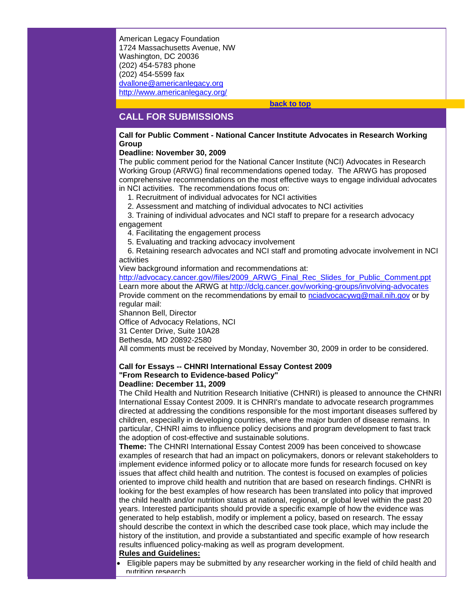American Legacy Foundation 1724 Massachusetts Avenue, NW Washington, DC 20036 (202) 454-5783 phone (202) 454-5599 fax [dvallone@americanlegacy.org](mailto:DVallone@americanlegacy.org) [http://www.americanlegacy.org/](http://rs6.net/tn.jsp?et=1102823849258&s=1103&e=001IepDW2alSJI7ZU52e7sFf6iZwjJGZ8NmlcgCXd_GXvMeR8EGMxPCyksxnbwee-UjFvFS6sPeCGdxhrmFqsWWa0Yxh7nckxVq-1Up4lWe6qrGo3yMn-lDu5GKjElwtFSW)

#### **[back to top](#page-0-1)**

# <span id="page-6-0"></span>**CALL FOR SUBMISSIONS**

## **Call for Public Comment - National Cancer Institute Advocates in Research Working Group**

## **Deadline: November 30, 2009**

The public comment period for the National Cancer Institute (NCI) Advocates in Research Working Group (ARWG) final recommendations opened today. The ARWG has proposed comprehensive recommendations on the most effective ways to engage individual advocates in NCI activities. The recommendations focus on:

- 1. Recruitment of individual advocates for NCI activities
- 2. Assessment and matching of individual advocates to NCI activities

 3. Training of individual advocates and NCI staff to prepare for a research advocacy engagement

4. Facilitating the engagement process

5. Evaluating and tracking advocacy involvement

 6. Retaining research advocates and NCI staff and promoting advocate involvement in NCI activities

View background information and recommendations at:

[http://advocacy.cancer.gov//files/2009\\_ARWG\\_Final\\_Rec\\_Slides\\_for\\_Public\\_Comment.ppt](http://rs6.net/tn.jsp?et=1102823849258&s=1103&e=001IepDW2alSJI5-UrcvST_zxJznw__cWNsRtLXjFlH4gKBO9V9J7w6vKGbXOrc_MIz6ZCUdqqRuSpM0SzVXO9MAyaStb1RhMkjkFbxKBLBBd7MGCAR1WN4n_o_qH_iuXDcObjy3uWfZcBXm4IDb6C2ybingtwrdpcOD3YAIBuTb8hE37NdoPXlbwpTqsOjyzJY) Learn more about the ARWG at [http://dclg.cancer.gov/working-groups/involving-advocates](http://rs6.net/tn.jsp?et=1102823849258&s=1103&e=001IepDW2alSJI0qKE6wv1bLE29SOUA3JKekkCu9KZGdNC9Gp2AXtNNHly3Z--ObKnx9H8XB3EfzIkPMQlHZjX7OgEif2suH5_B5ShoEELNx8UlJBupxiKFAso1s4Qcvy7x9jH7dNim351Zbw_jcYt-2Y-2QjvdClwL) Provide comment on the recommendations by email to [nciadvocacywg@mail.nih.gov](mailto:nciadvocacywg@mail.nih.gov) or by regular mail:

Shannon Bell, Director

Office of Advocacy Relations, NCI

31 Center Drive, Suite 10A28

Bethesda, MD 20892-2580

All comments must be received by Monday, November 30, 2009 in order to be considered.

# **Call for Essays -- CHNRI International Essay Contest 2009 "From Research to Evidence-based Policy"**

#### **Deadline: December 11, 2009**

The Child Health and Nutrition Research Initiative (CHNRI) is pleased to announce the CHNRI International Essay Contest 2009. It is CHNRI's mandate to advocate research programmes directed at addressing the conditions responsible for the most important diseases suffered by children, especially in developing countries, where the major burden of disease remains. In particular, CHNRI aims to influence policy decisions and program development to fast track the adoption of cost-effective and sustainable solutions.

**Theme:** The CHNRI International Essay Contest 2009 has been conceived to showcase examples of research that had an impact on policymakers, donors or relevant stakeholders to implement evidence informed policy or to allocate more funds for research focused on key issues that affect child health and nutrition. The contest is focused on examples of policies oriented to improve child health and nutrition that are based on research findings. CHNRI is looking for the best examples of how research has been translated into policy that improved the child health and/or nutrition status at national, regional, or global level within the past 20 years. Interested participants should provide a specific example of how the evidence was generated to help establish, modify or implement a policy, based on research. The essay should describe the context in which the described case took place, which may include the history of the institution, and provide a substantiated and specific example of how research results influenced policy-making as well as program development.

#### **Rules and Guidelines:**

• Eligible papers may be submitted by any researcher working in the field of child health and nutrition research.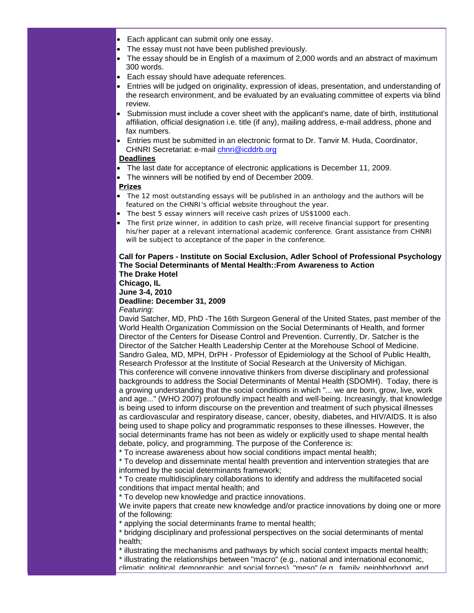- Each applicant can submit only one essay.
- The essay must not have been published previously.
- The essay should be in English of a maximum of 2,000 words and an abstract of maximum 300 words.
- Each essay should have adequate references.
- Entries will be judged on originality, expression of ideas, presentation, and understanding of the research environment, and be evaluated by an evaluating committee of experts via blind review.
- Submission must include a cover sheet with the applicant's name, date of birth, institutional affiliation, official designation i.e. title (if any), mailing address, e-mail address, phone and fax numbers.
- Entries must be submitted in an electronic format to Dr. Tanvir M. Huda, Coordinator, CHNRI Secretariat: e-mail [chnri@icddrb.org](mailto:chnri@icddrb.org)

# **Deadlines**

- The last date for acceptance of electronic applications is December 11, 2009.
- The winners will be notified by end of December 2009.

# **Prizes**

- The 12 most outstanding essays will be published in an anthology and the authors will be featured on the CHNRI's official website throughout the year.
- The best 5 essay winners will receive cash prizes of US\$1000 each.
- The first prize winner, in addition to cash prize, will receive financial support for presenting his/her paper at a relevant international academic conference. Grant assistance from CHNRI will be subject to acceptance of the paper in the conference.

#### **Call for Papers - Institute on Social Exclusion, Adler School of Professional Psychology The Social Determinants of Mental Health::From Awareness to Action The Drake Hotel**

**Chicago, IL**

**June 3-4, 2010**

**Deadline: December 31, 2009**

*Featuring:*

David Satcher, MD, PhD -The 16th Surgeon General of the United States, past member of the World Health Organization Commission on the Social Determinants of Health, and former Director of the Centers for Disease Control and Prevention. Currently, Dr. Satcher is the Director of the Satcher Health Leadership Center at the Morehouse School of Medicine. Sandro Galea, MD, MPH, DrPH - Professor of Epidemiology at the School of Public Health, Research Professor at the Institute of Social Research at the University of Michigan. This conference will convene innovative thinkers from diverse disciplinary and professional backgrounds to address the Social Determinants of Mental Health (SDOMH). Today, there is a growing understanding that the social conditions in which "... we are born, grow, live, work and age..." (WHO 2007) profoundly impact health and well-being. Increasingly, that knowledge is being used to inform discourse on the prevention and treatment of such physical illnesses as cardiovascular and respiratory disease, cancer, obesity, diabetes, and HIV/AIDS. It is also being used to shape policy and programmatic responses to these illnesses. However, the social determinants frame has not been as widely or explicitly used to shape mental health debate, policy, and programming. The purpose of the Conference is:

\* To increase awareness about how social conditions impact mental health;

\* To develop and disseminate mental health prevention and intervention strategies that are informed by the social determinants framework;

\* To create multidisciplinary collaborations to identify and address the multifaceted social conditions that impact mental health; and

\* To develop new knowledge and practice innovations.

We invite papers that create new knowledge and/or practice innovations by doing one or more of the following:

\* applying the social determinants frame to mental health;

\* bridging disciplinary and professional perspectives on the social determinants of mental health;

\* illustrating the mechanisms and pathways by which social context impacts mental health; \* illustrating the relationships between "macro" (e.g., national and international economic, climatic, political, demographic, and social forces), "meso" (e.g., family, neighborhood, and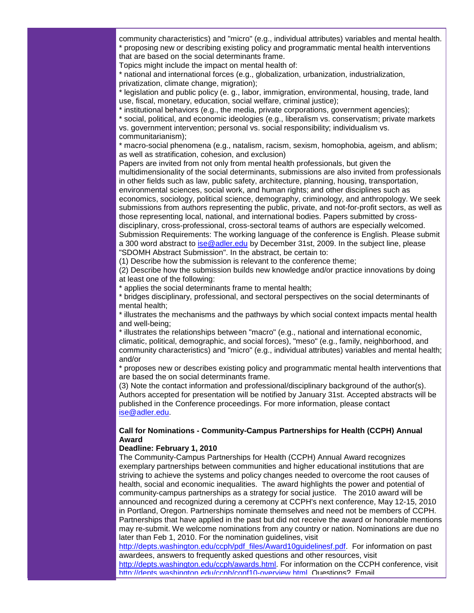community characteristics) and "micro" (e.g., individual attributes) variables and mental health. \* proposing new or describing existing policy and programmatic mental health interventions that are based on the social determinants frame.

Topics might include the impact on mental health of:

\* national and international forces (e.g., globalization, urbanization, industrialization, privatization, climate change, migration);

\* legislation and public policy (e. g., labor, immigration, environmental, housing, trade, land use, fiscal, monetary, education, social welfare, criminal justice);

\* institutional behaviors (e.g., the media, private corporations, government agencies);

\* social, political, and economic ideologies (e.g., liberalism vs. conservatism; private markets vs. government intervention; personal vs. social responsibility; individualism vs. communitarianism);

\* macro-social phenomena (e.g., natalism, racism, sexism, homophobia, ageism, and ablism; as well as stratification, cohesion, and exclusion)

Papers are invited from not only from mental health professionals, but given the multidimensionality of the social determinants, submissions are also invited from professionals in other fields such as law, public safety, architecture, planning, housing, transportation, environmental sciences, social work, and human rights; and other disciplines such as economics, sociology, political science, demography, criminology, and anthropology. We seek submissions from authors representing the public, private, and not-for-profit sectors, as well as those representing local, national, and international bodies. Papers submitted by crossdisciplinary, cross-professional, cross-sectoral teams of authors are especially welcomed. Submission Requirements: The working language of the conference is English. Please submit a 300 word abstract to [ise@adler.edu](mailto:ise@adler.edu) by December 31st, 2009. In the subject line, please "SDOMH Abstract Submission". In the abstract, be certain to:

(1) Describe how the submission is relevant to the conference theme;

(2) Describe how the submission builds new knowledge and/or practice innovations by doing at least one of the following:

\* applies the social determinants frame to mental health;

\* bridges disciplinary, professional, and sectoral perspectives on the social determinants of mental health;

\* illustrates the mechanisms and the pathways by which social context impacts mental health and well-being;

\* illustrates the relationships between "macro" (e.g., national and international economic, climatic, political, demographic, and social forces), "meso" (e.g., family, neighborhood, and community characteristics) and "micro" (e.g., individual attributes) variables and mental health; and/or

\* proposes new or describes existing policy and programmatic mental health interventions that are based the on social determinants frame.

(3) Note the contact information and professional/disciplinary background of the author(s). Authors accepted for presentation will be notified by January 31st. Accepted abstracts will be published in the Conference proceedings. For more information, please contact [ise@adler.edu.](mailto:ise@adler.edu)

# **Call for Nominations - Community-Campus Partnerships for Health (CCPH) Annual Award**

## **Deadline: February 1, 2010**

The Community-Campus Partnerships for Health (CCPH) Annual Award recognizes exemplary partnerships between communities and higher educational institutions that are striving to achieve the systems and policy changes needed to overcome the root causes of health, social and economic inequalities. The award highlights the power and potential of community-campus partnerships as a strategy for social justice. The 2010 award will be announced and recognized during a ceremony at CCPH's next conference, May 12-15, 2010 in Portland, Oregon. Partnerships nominate themselves and need not be members of CCPH. Partnerships that have applied in the past but did not receive the award or honorable mentions may re-submit. We welcome nominations from any country or nation. Nominations are due no later than Feb 1, 2010. For the nomination guidelines, visit

[http://depts.washington.edu/ccph/pdf\\_files/Award10guidelinesf.pdf.](http://rs6.net/tn.jsp?et=1102823849258&s=1103&e=001IepDW2alSJIzE1aTchb2KJEC21rRhqtZW5lkMbT7O4fjuomnlLVGWEcH4QlbiKHGHDAFZb9pVqrwMKfKUWvMkJy_upJ3W7iWcpBQxqOoY2fV06443_Py_SVDvF7SMKKVezxRbIxBuYZtAAa2sXf8qGTxknYvV_cA9EssSv03ZSA=) For information on past awardees, answers to frequently asked questions and other resources, visit [http://depts.washington.edu/ccph/awards.html.](http://rs6.net/tn.jsp?et=1102823849258&s=1103&e=001IepDW2alSJIuQ3S55-gAX-SLTQ4lS9ed6JthJb8wVhZbSKf19bjqn5bkIRJ5J7msxbMa7VJ9U-0UPYC7VVZrdoT9dHwwJvFTKb3HlXMGb1EBfuurKE5R7_lmzW6s0V23ox8PBaV4qMJY0chqCnuZjQ==) For information on the CCPH conference, visit

[http://depts.washington.edu/ccph/conf10-overview.html.](http://rs6.net/tn.jsp?et=1102823849258&s=1103&e=001IepDW2alSJKKEC0Q_sDu0coct70DV8d71kMAgw8zjb30ZaXKw_ohfXvM1IPaFRCzXdXgx18B12dZDj-ZgpKGoGcW-OCp4ljtAOEz01kgDi8D8Al80wKk876_zCn-4VDjhtY4h0hxK_AU69BgBEmUPedAsD38KgVi) Questions? Email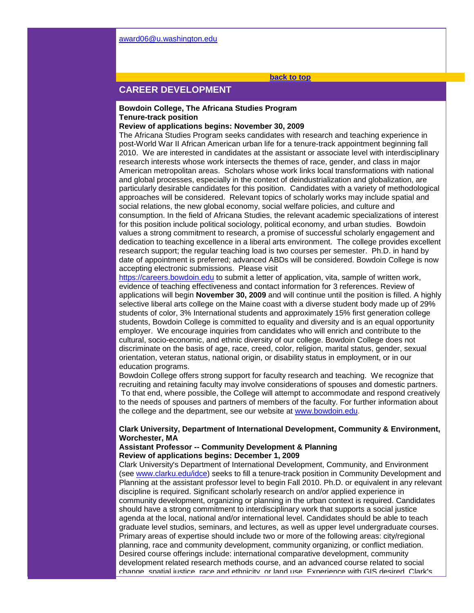#### **[back to top](#page-0-1)**

# <span id="page-9-0"></span>**CAREER DEVELOPMENT**

# **Bowdoin College, The Africana Studies Program Tenure-track position**

#### **Review of applications begins: November 30, 2009**

The Africana Studies Program seeks candidates with research and teaching experience in post-World War II African American urban life for a tenure-track appointment beginning fall 2010. We are interested in candidates at the assistant or associate level with interdisciplinary research interests whose work intersects the themes of race, gender, and class in major American metropolitan areas. Scholars whose work links local transformations with national and global processes, especially in the context of deindustrialization and globalization, are particularly desirable candidates for this position. Candidates with a variety of methodological approaches will be considered. Relevant topics of scholarly works may include spatial and social relations, the new global economy, social welfare policies, and culture and consumption. In the field of Africana Studies, the relevant academic specializations of interest for this position include political sociology, political economy, and urban studies. Bowdoin values a strong commitment to research, a promise of successful scholarly engagement and dedication to teaching excellence in a liberal arts environment. The college provides excellent research support; the regular teaching load is two courses per semester. Ph.D. in hand by date of appointment is preferred; advanced ABDs will be considered. Bowdoin College is now accepting electronic submissions. Please visit

[https://careers.bowdoin.edu](http://rs6.net/tn.jsp?et=1102823849258&s=1103&e=001IepDW2alSJJw9vKaS0xzBW0b28q-z-_7Ghy2ULU70vgvvaHKf_fRsxNdug_mKRZBiAqNpW8nNcnydF_0OIzrCuggvJKv1Nj3UuSEay4_id_4oYByHDlMrQ==) to submit a letter of application, vita, sample of written work, evidence of teaching effectiveness and contact information for 3 references. Review of applications will begin **November 30, 2009** and will continue until the position is filled. A highly selective liberal arts college on the Maine coast with a diverse student body made up of 29% students of color, 3% International students and approximately 15% first generation college students, Bowdoin College is committed to equality and diversity and is an equal opportunity employer. We encourage inquiries from candidates who will enrich and contribute to the cultural, socio-economic, and ethnic diversity of our college. Bowdoin College does not discriminate on the basis of age, race, creed, color, religion, marital status, gender, sexual orientation, veteran status, national origin, or disability status in employment, or in our education programs.

Bowdoin College offers strong support for faculty research and teaching. We recognize that recruiting and retaining faculty may involve considerations of spouses and domestic partners. To that end, where possible, the College will attempt to accommodate and respond creatively to the needs of spouses and partners of members of the faculty. For further information about the college and the department, see our website at [www.bowdoin.edu.](http://rs6.net/tn.jsp?et=1102823849258&s=1103&e=001IepDW2alSJLlpJsyP2sCkuP9YEfT1TNBpQIWkBrkL8mAA9rugLAMQKQn7Z0No8IHFHrvqXS8yElBmj5QDs-OTY6E4lXDUdrBWT_GNwJqIp8ps2vgqT_bnA==) 

# **Clark University, Department of International Development, Community & Environment, Worchester, MA**

### **Assistant Professor -- Community Development & Planning Review of applications begins: December 1, 2009**

Clark University's Department of International Development, Community, and Environment (see [www.clarku.edu/idce\)](http://rs6.net/tn.jsp?et=1102823849258&s=1103&e=001IepDW2alSJJGfkpRFCP7-IQ-TSTz-9pXqJwmgoDLGWq-XJBqp5D49dyg1aN-AXrEMkz6uyFjJfwC7VHBN81oxBO4YBOKRdCy_rsBcttdg5nZ2SCakkhDNg==) seeks to fill a tenure-track position in Community Development and Planning at the assistant professor level to begin Fall 2010. Ph.D. or equivalent in any relevant discipline is required. Significant scholarly research on and/or applied experience in community development, organizing or planning in the urban context is required. Candidates should have a strong commitment to interdisciplinary work that supports a social justice agenda at the local, national and/or international level. Candidates should be able to teach graduate level studios, seminars, and lectures, as well as upper level undergraduate courses. Primary areas of expertise should include two or more of the following areas: city/regional planning, race and community development, community organizing, or conflict mediation. Desired course offerings include: international comparative development, community development related research methods course, and an advanced course related to social change, spatial justice, race and ethnicity, or land use. Experience with GIS desired. Clark's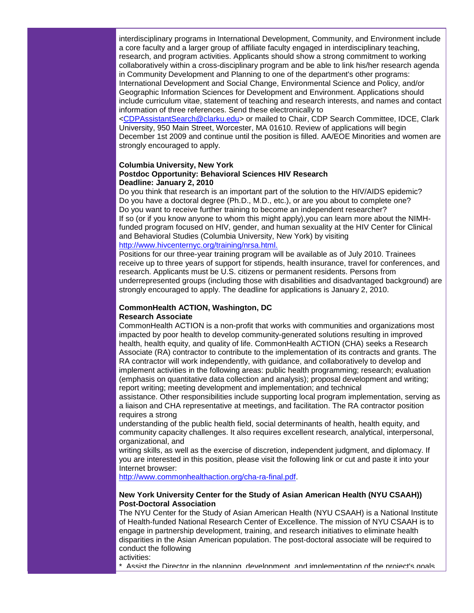interdisciplinary programs in International Development, Community, and Environment include a core faculty and a larger group of affiliate faculty engaged in interdisciplinary teaching, research, and program activities. Applicants should show a strong commitment to working collaboratively within a cross-disciplinary program and be able to link his/her research agenda in Community Development and Planning to one of the department's other programs: International Development and Social Change, Environmental Science and Policy, and/or Geographic Information Sciences for Development and Environment. Applications should include curriculum vitae, statement of teaching and research interests, and names and contact information of three references. Send these electronically to

[<CDPAssistantSearch@clarku.edu>](mailto:CDPAssistantSearch@clarku.edu) or mailed to Chair, CDP Search Committee, IDCE, Clark University, 950 Main Street, Worcester, MA 01610. Review of applications will begin December 1st 2009 and continue until the position is filled. AA/EOE Minorities and women are strongly encouraged to apply.

## **Columbia University, New York Postdoc Opportunity: Behavioral Sciences HIV Research Deadline: January 2, 2010**

Do you think that research is an important part of the solution to the HIV/AIDS epidemic? Do you have a doctoral degree (Ph.D., M.D., etc.), or are you about to complete one? Do you want to receive further training to become an independent researcher? If so (or if you know anyone to whom this might apply),you can learn more about the NIMHfunded program focused on HIV, gender, and human sexuality at the HIV Center for Clinical and Behavioral Studies (Columbia University, New York) by visiting [http://www.hivcenternyc.org/training/nrsa.html.](http://rs6.net/tn.jsp?et=1102823849258&s=1103&e=001IepDW2alSJLDF5pwg9Lie0dHeP6exXxtuYmiwEsDze4WxugkXDwzjjc62E_vb2CMLce7dUi34W4Z5echKc2muA0y6fixdjkYzPBlnWWRi1iK5o8nqAa8GM4FxO1I28QHmKb2micQq5PaL5Z_h0LJkg==)

Positions for our three-year training program will be available as of July 2010. Trainees receive up to three years of support for stipends, health insurance, travel for conferences, and research. Applicants must be U.S. citizens or permanent residents. Persons from underrepresented groups (including those with disabilities and disadvantaged background) are strongly encouraged to apply. The deadline for applications is January 2, 2010.

# **CommonHealth ACTION, Washington, DC Research Associate**

CommonHealth ACTION is a non-profit that works with communities and organizations most impacted by poor health to develop community-generated solutions resulting in improved health, health equity, and quality of life. CommonHealth ACTION (CHA) seeks a Research Associate (RA) contractor to contribute to the implementation of its contracts and grants. The RA contractor will work independently, with guidance, and collaboratively to develop and implement activities in the following areas: public health programming; research; evaluation (emphasis on quantitative data collection and analysis); proposal development and writing; report writing; meeting development and implementation; and technical

assistance. Other responsibilities include supporting local program implementation, serving as a liaison and CHA representative at meetings, and facilitation. The RA contractor position requires a strong

understanding of the public health field, social determinants of health, health equity, and community capacity challenges. It also requires excellent research, analytical, interpersonal, organizational, and

writing skills, as well as the exercise of discretion, independent judgment, and diplomacy. If you are interested in this position, please visit the following link or cut and paste it into your Internet browser:

[http://www.commonhealthaction.org/cha-ra-final.pdf.](http://rs6.net/tn.jsp?et=1102823849258&s=1103&e=001IepDW2alSJIN38WgtQlGUdY5SsR6FOba6kedEIpPvFMh7c7zyJE8lh1UqO2dXgPK5pEVkvHSLJ8dDB8yti72R0zjaV9h8QCq2aBhaL1anBYIQqlA0qdjmrS5M69iQ3vWYYxSgJYQwoPpWdVjSDAvhA==)

# **New York University Center for the Study of Asian American Health (NYU CSAAH)) Post-Doctoral Association**

The NYU Center for the Study of Asian American Health (NYU CSAAH) is a National Institute of Health-funded National Research Center of Excellence. The mission of NYU CSAAH is to engage in partnership development, training, and research initiatives to eliminate health disparities in the Asian American population. The post-doctoral associate will be required to conduct the following

activities:

 $^{\ast}$  Assist the Director in the planning, development, and implementation of the project's goals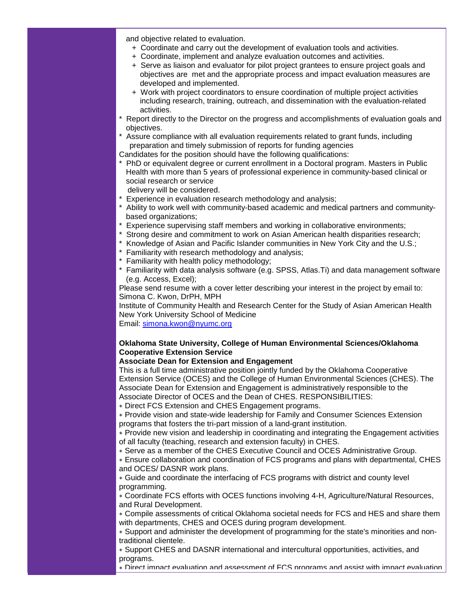and objective related to evaluation.

- + Coordinate and carry out the development of evaluation tools and activities.
- + Coordinate, implement and analyze evaluation outcomes and activities.
- + Serve as liaison and evaluator for pilot project grantees to ensure project goals and objectives are met and the appropriate process and impact evaluation measures are developed and implemented.
- + Work with project coordinators to ensure coordination of multiple project activities including research, training, outreach, and dissemination with the evaluation-related activities.
- Report directly to the Director on the progress and accomplishments of evaluation goals and objectives.
- Assure compliance with all evaluation requirements related to grant funds, including preparation and timely submission of reports for funding agencies

Candidates for the position should have the following qualifications:

\* PhD or equivalent degree or current enrollment in a Doctoral program. Masters in Public Health with more than 5 years of professional experience in community-based clinical or social research or service

delivery will be considered.

- Experience in evaluation research methodology and analysis;
- Ability to work well with community-based academic and medical partners and communitybased organizations;
- \* Experience supervising staff members and working in collaborative environments;
- \* Strong desire and commitment to work on Asian American health disparities research;
- \* Knowledge of Asian and Pacific Islander communities in New York City and the U.S.;
- \* Familiarity with research methodology and analysis;
- \* Familiarity with health policy methodology;
- \* Familiarity with data analysis software (e.g. SPSS, Atlas.Ti) and data management software (e.g. Access, Excel);

Please send resume with a cover letter describing your interest in the project by email to: Simona C. Kwon, DrPH, MPH

Institute of Community Health and Research Center for the Study of Asian American Health New York University School of Medicine

Email: [simona.kwon@nyumc.org](mailto:simona.kwon@nyumc.org)

# **Oklahoma State University, College of Human Environmental Sciences/Oklahoma Cooperative Extension Service**

#### **Associate Dean for Extension and Engagement**

This is a full time administrative position jointly funded by the Oklahoma Cooperative Extension Service (OCES) and the College of Human Environmental Sciences (CHES). The Associate Dean for Extension and Engagement is administratively responsible to the Associate Director of OCES and the Dean of CHES. RESPONSIBILITIES:

∗ Direct FCS Extension and CHES Engagement programs.

∗ Provide vision and state-wide leadership for Family and Consumer Sciences Extension programs that fosters the tri-part mission of a land-grant institution.

∗ Provide new vision and leadership in coordinating and integrating the Engagement activities of all faculty (teaching, research and extension faculty) in CHES.

∗ Serve as a member of the CHES Executive Council and OCES Administrative Group.

∗ Ensure collaboration and coordination of FCS programs and plans with departmental, CHES and OCES/ DASNR work plans.

∗ Guide and coordinate the interfacing of FCS programs with district and county level programming.

∗ Coordinate FCS efforts with OCES functions involving 4-H, Agriculture/Natural Resources, and Rural Development.

∗ Compile assessments of critical Oklahoma societal needs for FCS and HES and share them with departments, CHES and OCES during program development.

∗ Support and administer the development of programming for the state's minorities and nontraditional clientele.

∗ Support CHES and DASNR international and intercultural opportunities, activities, and programs.

∗ Direct impact evaluation and assessment of FCS programs and assist with impact evaluation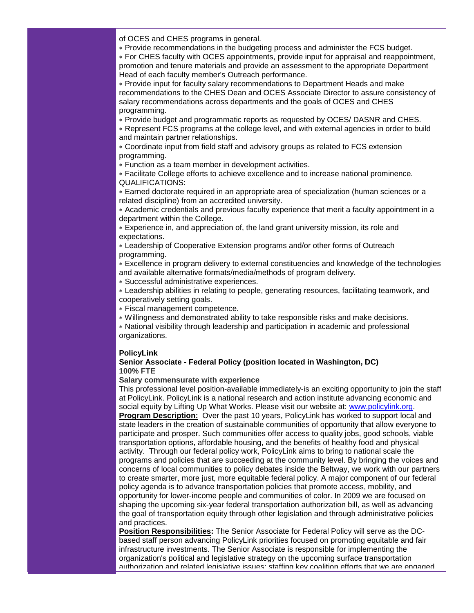of OCES and CHES programs in general.

∗ Provide recommendations in the budgeting process and administer the FCS budget.

∗ For CHES faculty with OCES appointments, provide input for appraisal and reappointment, promotion and tenure materials and provide an assessment to the appropriate Department Head of each faculty member's Outreach performance.

∗ Provide input for faculty salary recommendations to Department Heads and make recommendations to the CHES Dean and OCES Associate Director to assure consistency of salary recommendations across departments and the goals of OCES and CHES programming.

∗ Provide budget and programmatic reports as requested by OCES/ DASNR and CHES.

∗ Represent FCS programs at the college level, and with external agencies in order to build and maintain partner relationships.

∗ Coordinate input from field staff and advisory groups as related to FCS extension programming.

∗ Function as a team member in development activities.

∗ Facilitate College efforts to achieve excellence and to increase national prominence. QUALIFICATIONS:

∗ Earned doctorate required in an appropriate area of specialization (human sciences or a related discipline) from an accredited university.

∗ Academic credentials and previous faculty experience that merit a faculty appointment in a department within the College.

∗ Experience in, and appreciation of, the land grant university mission, its role and expectations.

∗ Leadership of Cooperative Extension programs and/or other forms of Outreach programming.

∗ Excellence in program delivery to external constituencies and knowledge of the technologies and available alternative formats/media/methods of program delivery.

∗ Successful administrative experiences.

∗ Leadership abilities in relating to people, generating resources, facilitating teamwork, and cooperatively setting goals.

∗ Fiscal management competence.

∗ Willingness and demonstrated ability to take responsible risks and make decisions.

∗ National visibility through leadership and participation in academic and professional organizations.

# **PolicyLink**

#### **Senior Associate - Federal Policy (position located in Washington, DC) 100% FTE**

## **Salary commensurate with experience**

This professional level position-available immediately-is an exciting opportunity to join the staff at PolicyLink. PolicyLink is a national research and action institute advancing economic and social equity by Lifting Up What Works. Please visit our website at: [www.policylink.org.](http://rs6.net/tn.jsp?et=1102823849258&s=1103&e=001IepDW2alSJLFuZu6zL3m6pC2UzxC0NDiDUfYvR6_rX_vene2FYPT6VVdGKKMCSH5oyHbLlP6xQWT-6NQWAMOxdZPtO-99mdw45ZmzKok6_4orhL4q2gMPA==) **Program Description:** Over the past 10 years, PolicyLink has worked to support local and state leaders in the creation of sustainable communities of opportunity that allow everyone to participate and prosper. Such communities offer access to quality jobs, good schools, viable transportation options, affordable housing, and the benefits of healthy food and physical activity. Through our federal policy work, PolicyLink aims to bring to national scale the programs and policies that are succeeding at the community level. By bringing the voices and concerns of local communities to policy debates inside the Beltway, we work with our partners to create smarter, more just, more equitable federal policy. A major component of our federal policy agenda is to advance transportation policies that promote access, mobility, and opportunity for lower-income people and communities of color. In 2009 we are focused on shaping the upcoming six-year federal transportation authorization bill, as well as advancing the goal of transportation equity through other legislation and through administrative policies and practices.

**Position Responsibilities:** The Senior Associate for Federal Policy will serve as the DCbased staff person advancing PolicyLink priorities focused on promoting equitable and fair infrastructure investments. The Senior Associate is responsible for implementing the organization's political and legislative strategy on the upcoming surface transportation authorization and related legislative issues; staffing key coalition efforts that we are engaged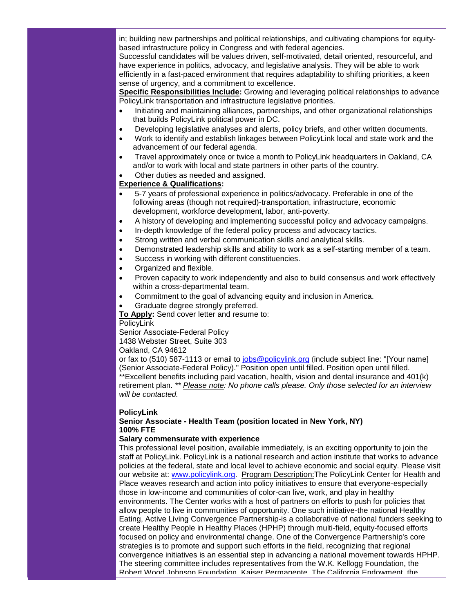in; building new partnerships and political relationships, and cultivating champions for equitybased infrastructure policy in Congress and with federal agencies.

Successful candidates will be values driven, self-motivated, detail oriented, resourceful, and have experience in politics, advocacy, and legislative analysis. They will be able to work efficiently in a fast-paced environment that requires adaptability to shifting priorities, a keen sense of urgency, and a commitment to excellence.

**Specific Responsibilities Include:** Growing and leveraging political relationships to advance PolicyLink transportation and infrastructure legislative priorities.

- Initiating and maintaining alliances, partnerships, and other organizational relationships that builds PolicyLink political power in DC.
- Developing legislative analyses and alerts, policy briefs, and other written documents.
- Work to identify and establish linkages between PolicyLink local and state work and the advancement of our federal agenda.
- Travel approximately once or twice a month to PolicyLink headquarters in Oakland, CA and/or to work with local and state partners in other parts of the country.
- Other duties as needed and assigned.

# **Experience & Qualifications:**

- 5-7 years of professional experience in politics/advocacy. Preferable in one of the following areas (though not required)-transportation, infrastructure, economic development, workforce development, labor, anti-poverty.
- A history of developing and implementing successful policy and advocacy campaigns.
- In-depth knowledge of the federal policy process and advocacy tactics.
- Strong written and verbal communication skills and analytical skills.
- Demonstrated leadership skills and ability to work as a self-starting member of a team.
- Success in working with different constituencies.
- Organized and flexible.
- Proven capacity to work independently and also to build consensus and work effectively within a cross-departmental team.
- Commitment to the goal of advancing equity and inclusion in America.
- Graduate degree strongly preferred.

**To Apply:** Send cover letter and resume to:

#### PolicyLink

Senior Associate-Federal Policy 1438 Webster Street, Suite 303

Oakland, CA 94612

or fax to (510) 587-1113 or email to [jobs@policylink.org](mailto:jobs@policylink.org) (include subject line: "[Your name] (Senior Associate-Federal Policy)." Position open until filled. Position open until filled. \*\*Excellent benefits including paid vacation, health, vision and dental insurance and 401(k) retirement plan. *\*\* Please note: No phone calls please. Only those selected for an interview* 

# **PolicyLink**

*will be contacted.*

# **Senior Associate - Health Team (position located in New York, NY) 100% FTE**

# **Salary commensurate with experience**

This professional level position, available immediately, is an exciting opportunity to join the staff at PolicyLink. PolicyLink is a national research and action institute that works to advance policies at the federal, state and local level to achieve economic and social equity. Please visit our website at: [www.policylink.org.](http://rs6.net/tn.jsp?et=1102823849258&s=1103&e=001IepDW2alSJLFuZu6zL3m6pC2UzxC0NDiDUfYvR6_rX_vene2FYPT6VVdGKKMCSH5oyHbLlP6xQWT-6NQWAMOxdZPtO-99mdw45ZmzKok6_4orhL4q2gMPA==) Program Description:The PolicyLink Center for Health and Place weaves research and action into policy initiatives to ensure that everyone-especially those in low-income and communities of color-can live, work, and play in healthy environments. The Center works with a host of partners on efforts to push for policies that allow people to live in communities of opportunity. One such initiative-the national Healthy Eating, Active Living Convergence Partnership-is a collaborative of national funders seeking to create Healthy People in Healthy Places (HPHP) through multi-field, equity-focused efforts focused on policy and environmental change. One of the Convergence Partnership's core strategies is to promote and support such efforts in the field, recognizing that regional convergence initiatives is an essential step in advancing a national movement towards HPHP. The steering committee includes representatives from the W.K. Kellogg Foundation, the Robert Wood Johnson Foundation, Kaiser Permanente, The California Endowment, the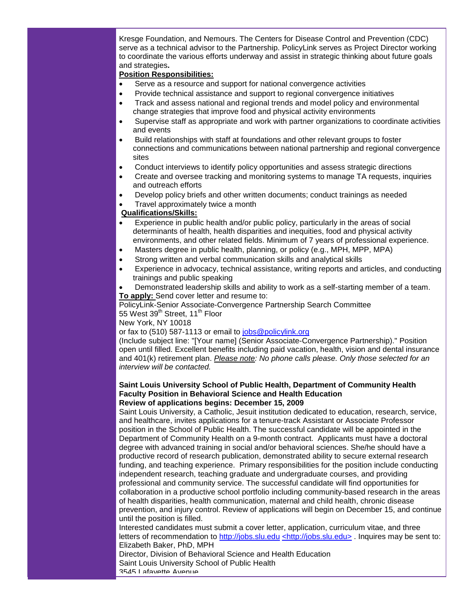Kresge Foundation, and Nemours. The Centers for Disease Control and Prevention (CDC) serve as a technical advisor to the Partnership. PolicyLink serves as Project Director working to coordinate the various efforts underway and assist in strategic thinking about future goals and strategies**.** 

# **Position Responsibilities:**

- Serve as a resource and support for national convergence activities
- Provide technical assistance and support to regional convergence initiatives
- Track and assess national and regional trends and model policy and environmental change strategies that improve food and physical activity environments
- Supervise staff as appropriate and work with partner organizations to coordinate activities and events
- Build relationships with staff at foundations and other relevant groups to foster connections and communications between national partnership and regional convergence sites
- Conduct interviews to identify policy opportunities and assess strategic directions
- Create and oversee tracking and monitoring systems to manage TA requests, inquiries and outreach efforts
- Develop policy briefs and other written documents; conduct trainings as needed
- Travel approximately twice a month

## **Qualifications/Skills:**

- Experience in public health and/or public policy, particularly in the areas of social determinants of health, health disparities and inequities, food and physical activity environments, and other related fields. Minimum of 7 years of professional experience.
- Masters degree in public health, planning, or policy (e.g., MPH, MPP, MPA)
- Strong written and verbal communication skills and analytical skills
- Experience in advocacy, technical assistance, writing reports and articles, and conducting trainings and public speaking
- Demonstrated leadership skills and ability to work as a self-starting member of a team. **To apply:** Send cover letter and resume to:

PolicyLink-Senior Associate-Convergence Partnership Search Committee 55 West 39<sup>th</sup> Street, 11<sup>th</sup> Floor

New York, NY 10018

or fax to (510) 587-1113 or email to [jobs@policylink.org](mailto:jobs@policylink.org)

(Include subject line: "[Your name] (Senior Associate-Convergence Partnership)." Position open until filled. Excellent benefits including paid vacation, health, vision and dental insurance and 401(k) retirement plan. *Please note: No phone calls please. Only those selected for an interview will be contacted.*

#### **Saint Louis University School of Public Health, Department of Community Health Faculty Position in Behavioral Science and Health Education Review of applications begins: December 15, 2009**

Saint Louis University, a Catholic, Jesuit institution dedicated to education, research, service, and healthcare, invites applications for a tenure-track Assistant or Associate Professor position in the School of Public Health. The successful candidate will be appointed in the Department of Community Health on a 9-month contract. Applicants must have a doctoral degree with advanced training in social and/or behavioral sciences. She/he should have a productive record of research publication, demonstrated ability to secure external research funding, and teaching experience. Primary responsibilities for the position include conducting independent research, teaching graduate and undergraduate courses, and providing professional and community service. The successful candidate will find opportunities for collaboration in a productive school portfolio including community-based research in the areas of health disparities, health communication, maternal and child health, chronic disease prevention, and injury control. Review of applications will begin on December 15, and continue until the position is filled.

Interested candidates must submit a cover letter, application, curriculum vitae, and three letters of recommendation to [http://jobs.slu.edu](http://rs6.net/tn.jsp?et=1102823849258&s=1103&e=001IepDW2alSJIEepxo4yKKHCiq4p3duH3C5hKp7bq2VvpavDa9mlAj_NTTkuHOcWwdqO29hpp1JKj9ssC_9_05VTxEPQz1L3VOKuVA8y1hgx0=) [<http://jobs.slu.edu>](http://rs6.net/tn.jsp?et=1102823849258&s=1103&e=001IepDW2alSJIEepxo4yKKHCiq4p3duH3C5hKp7bq2VvpavDa9mlAj_NTTkuHOcWwdqO29hpp1JKj9ssC_9_05VTxEPQz1L3VOKuVA8y1hgx0=) . Inquires may be sent to: Elizabeth Baker, PhD, MPH

Director, Division of Behavioral Science and Health Education Saint Louis University School of Public Health 3545 Lafayette Avenue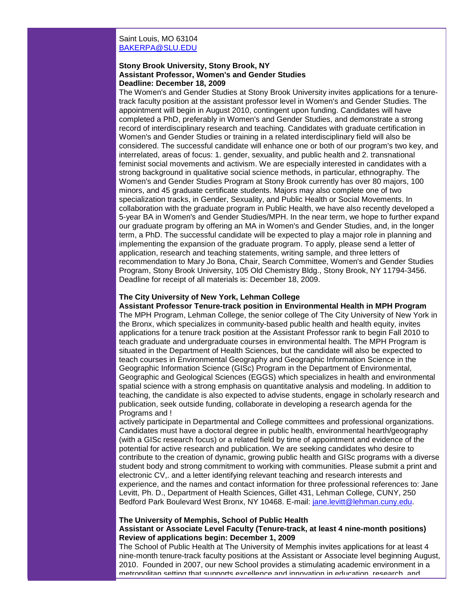# Saint Louis, MO 63104 [BAKERPA@SLU.EDU](mailto:BAKERPA@SLU.EDU)

#### **Stony Brook University, Stony Brook, NY Assistant Professor, Women's and Gender Studies Deadline: December 18, 2009**

The Women's and Gender Studies at Stony Brook University invites applications for a tenuretrack faculty position at the assistant professor level in Women's and Gender Studies. The appointment will begin in August 2010, contingent upon funding. Candidates will have completed a PhD, preferably in Women's and Gender Studies, and demonstrate a strong record of interdisciplinary research and teaching. Candidates with graduate certification in Women's and Gender Studies or training in a related interdisciplinary field will also be considered. The successful candidate will enhance one or both of our program's two key, and interrelated, areas of focus: 1. gender, sexuality, and public health and 2. transnational feminist social movements and activism. We are especially interested in candidates with a strong background in qualitative social science methods, in particular, ethnography. The Women's and Gender Studies Program at Stony Brook currently has over 80 majors, 100 minors, and 45 graduate certificate students. Majors may also complete one of two specialization tracks, in Gender, Sexuality, and Public Health or Social Movements. In collaboration with the graduate program in Public Health, we have also recently developed a 5-year BA in Women's and Gender Studies/MPH. In the near term, we hope to further expand our graduate program by offering an MA in Women's and Gender Studies, and, in the longer term, a PhD. The successful candidate will be expected to play a major role in planning and implementing the expansion of the graduate program. To apply, please send a letter of application, research and teaching statements, writing sample, and three letters of recommendation to Mary Jo Bona, Chair, Search Committee, Women's and Gender Studies Program, Stony Brook University, 105 Old Chemistry Bldg., Stony Brook, NY 11794-3456. Deadline for receipt of all materials is: December 18, 2009.

#### **The City University of New York, Lehman College**

**Assistant Professor Tenure-track position in Environmental Health in MPH Program** The MPH Program, Lehman College, the senior college of The City University of New York in the Bronx, which specializes in community-based public health and health equity, invites applications for a tenure track position at the Assistant Professor rank to begin Fall 2010 to teach graduate and undergraduate courses in environmental health. The MPH Program is situated in the Department of Health Sciences, but the candidate will also be expected to teach courses in Environmental Geography and Geographic Information Science in the Geographic Information Science (GISc) Program in the Department of Environmental, Geographic and Geological Sciences (EGGS) which specializes in health and environmental spatial science with a strong emphasis on quantitative analysis and modeling. In addition to teaching, the candidate is also expected to advise students, engage in scholarly research and publication, seek outside funding, collaborate in developing a research agenda for the Programs and !

actively participate in Departmental and College committees and professional organizations. Candidates must have a doctoral degree in public health, environmental hearth/geography (with a GISc research focus) or a related field by time of appointment and evidence of the potential for active research and publication. We are seeking candidates who desire to contribute to the creation of dynamic, growing public health and GISc programs with a diverse student body and strong commitment to working with communities. Please submit a print and electronic CV,. and a letter identifying relevant teaching and research interests and experience, and the names and contact information for three professional references to: Jane Levitt, Ph. D., Department of Health Sciences, Gillet 431, Lehman College, CUNY, 250 Bedford Park Boulevard West Bronx, NY 10468. E-mail: [jane.levitt@lehman.cuny.edu.](mailto:jane.levitt@lehman.cuny.edu)

#### **The University of Memphis, School of Public Health**

## **Assistant or Associate Level Faculty (Tenure-track, at least 4 nine-month positions) Review of applications begin: December 1, 2009**

The School of Public Health at The University of Memphis invites applications for at least 4 nine-month tenure-track faculty positions at the Assistant or Associate level beginning August, 2010. Founded in 2007, our new School provides a stimulating academic environment in a metropolitan setting that supports excellence and innovation in education, research, and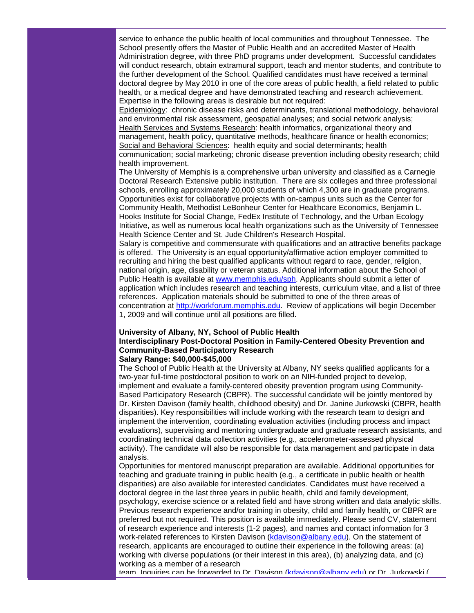service to enhance the public health of local communities and throughout Tennessee. The School presently offers the Master of Public Health and an accredited Master of Health Administration degree, with three PhD programs under development. Successful candidates will conduct research, obtain extramural support, teach and mentor students, and contribute to the further development of the School. Qualified candidates must have received a terminal doctoral degree by May 2010 in one of the core areas of public health, a field related to public health, or a medical degree and have demonstrated teaching and research achievement. Expertise in the following areas is desirable but not required:

Epidemiology: chronic disease risks and determinants, translational methodology, behavioral and environmental risk assessment, geospatial analyses; and social network analysis; Health Services and Systems Research: health informatics, organizational theory and management, health policy, quantitative methods, healthcare finance or health economics; Social and Behavioral Sciences: health equity and social determinants; health communication; social marketing; chronic disease prevention including obesity research; child health improvement.

The University of Memphis is a comprehensive urban university and classified as a Carnegie Doctoral Research Extensive public institution. There are six colleges and three professional schools, enrolling approximately 20,000 students of which 4,300 are in graduate programs. Opportunities exist for collaborative projects with on-campus units such as the Center for Community Health, Methodist LeBonheur Center for Healthcare Economics, Benjamin L. Hooks Institute for Social Change, FedEx Institute of Technology, and the Urban Ecology Initiative, as well as numerous local health organizations such as the University of Tennessee Health Science Center and St. Jude Children's Research Hospital.

Salary is competitive and commensurate with qualifications and an attractive benefits package is offered. The University is an equal opportunity/affirmative action employer committed to recruiting and hiring the best qualified applicants without regard to race, gender, religion, national origin, age, disability or veteran status. Additional information about the School of Public Health is available at [www.memphis.edu/sph.](http://rs6.net/tn.jsp?et=1102823849258&s=1103&e=001IepDW2alSJJ6J3bsHfGWZAc5D3J0fsQewnTshTNn77mij57Uj5zFYHpdWIL1th4bWwJFrJ3ndRZKBkcD145EWRsf4RF3nLv-lmFq01PwnSshcizcjjdYow==) Applicants should submit a letter of application which includes research and teaching interests, curriculum vitae, and a list of three references. Application materials should be submitted to one of the three areas of concentration at [http://workforum.memphis.edu.](http://rs6.net/tn.jsp?et=1102823849258&s=1103&e=001IepDW2alSJJDOiRiOkR7oW50D_EaFm51DXcUx2lHDqH2O7gRjPc8P4n0WjnJh7pfLtowJkMXpGc1Qvir7v5hmfDXXL7wPISHrY2q1nwF9VAiY_W-QYqvzA==) Review of applications will begin December 1, 2009 and will continue until all positions are filled.

## **University of Albany, NY, School of Public Health Interdisciplinary Post-Doctoral Position in Family-Centered Obesity Prevention and Community-Based Participatory Research Salary Range: \$40,000-\$45,000**

The School of Public Health at the University at Albany, NY seeks qualified applicants for a two-year full-time postdoctoral position to work on an NIH-funded project to develop, implement and evaluate a family-centered obesity prevention program using Community-Based Participatory Research (CBPR). The successful candidate will be jointly mentored by Dr. Kirsten Davison (family health, childhood obesity) and Dr. Janine Jurkowski (CBPR, health disparities). Key responsibilities will include working with the research team to design and implement the intervention, coordinating evaluation activities (including process and impact evaluations), supervising and mentoring undergraduate and graduate research assistants, and coordinating technical data collection activities (e.g., accelerometer-assessed physical activity). The candidate will also be responsible for data management and participate in data analysis.

Opportunities for mentored manuscript preparation are available. Additional opportunities for teaching and graduate training in public health (e.g., a certificate in public health or health disparities) are also available for interested candidates. Candidates must have received a doctoral degree in the last three years in public health, child and family development, psychology, exercise science or a related field and have strong written and data analytic skills. Previous research experience and/or training in obesity, child and family health, or CBPR are preferred but not required. This position is available immediately. Please send CV, statement of research experience and interests (1-2 pages), and names and contact information for 3 work-related references to Kirsten Davison [\(kdavison@albany.edu\)](mailto:kdavison@albany.edu). On the statement of research, applicants are encouraged to outline their experience in the following areas: (a) working with diverse populations (or their interest in this area), (b) analyzing data, and (c) working as a member of a research

team. Inquiries can be forwarded to Dr. Davison [\(kdavison@albany.edu\)](mailto:kdavison@albany.edu) or Dr. Jurkowski (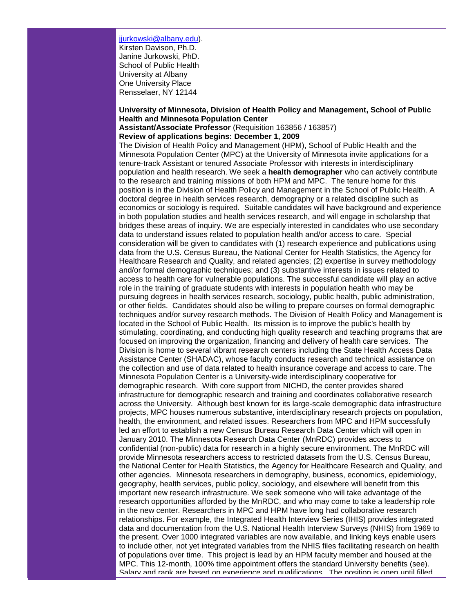[jjurkowski@albany.edu\)](mailto:jjurkowski@albany.edu). Kirsten Davison, Ph.D. Janine Jurkowski, PhD. School of Public Health University at Albany One University Place Rensselaer, NY 12144

# **University of Minnesota, Division of Health Policy and Management, School of Public Health and Minnesota Population Center**

**Assistant/Associate Professor** (Requisition 163856 / 163857)

# **Review of applications begins: December 1, 2009**

The Division of Health Policy and Management (HPM), School of Public Health and the Minnesota Population Center (MPC) at the University of Minnesota invite applications for a tenure-track Assistant or tenured Associate Professor with interests in interdisciplinary population and health research. We seek a **health demographer** who can actively contribute to the research and training missions of both HPM and MPC. The tenure home for this position is in the Division of Health Policy and Management in the School of Public Health. A doctoral degree in health services research, demography or a related discipline such as economics or sociology is required. Suitable candidates will have background and experience in both population studies and health services research, and will engage in scholarship that bridges these areas of inquiry. We are especially interested in candidates who use secondary data to understand issues related to population health and/or access to care. Special consideration will be given to candidates with (1) research experience and publications using data from the U.S. Census Bureau, the National Center for Health Statistics, the Agency for Healthcare Research and Quality, and related agencies; (2) expertise in survey methodology and/or formal demographic techniques; and (3) substantive interests in issues related to access to health care for vulnerable populations. The successful candidate will play an active role in the training of graduate students with interests in population health who may be pursuing degrees in health services research, sociology, public health, public administration, or other fields. Candidates should also be willing to prepare courses on formal demographic techniques and/or survey research methods. The Division of Health Policy and Management is located in the School of Public Health. Its mission is to improve the public's health by stimulating, coordinating, and conducting high quality research and teaching programs that are focused on improving the organization, financing and delivery of health care services. The Division is home to several vibrant research centers including the State Health Access Data Assistance Center (SHADAC), whose faculty conducts research and technical assistance on the collection and use of data related to health insurance coverage and access to care. The Minnesota Population Center is a University-wide interdisciplinary cooperative for demographic research. With core support from NICHD, the center provides shared infrastructure for demographic research and training and coordinates collaborative research across the University. Although best known for its large-scale demographic data infrastructure projects, MPC houses numerous substantive, interdisciplinary research projects on population, health, the environment, and related issues. Researchers from MPC and HPM successfully led an effort to establish a new Census Bureau Research Data Center which will open in January 2010. The Minnesota Research Data Center (MnRDC) provides access to confidential (non-public) data for research in a highly secure environment. The MnRDC will provide Minnesota researchers access to restricted datasets from the U.S. Census Bureau, the National Center for Health Statistics, the Agency for Healthcare Research and Quality, and other agencies. Minnesota researchers in demography, business, economics, epidemiology, geography, health services, public policy, sociology, and elsewhere will benefit from this important new research infrastructure. We seek someone who will take advantage of the research opportunities afforded by the MnRDC, and who may come to take a leadership role in the new center. Researchers in MPC and HPM have long had collaborative research relationships. For example, the Integrated Health Interview Series (IHIS) provides integrated data and documentation from the U.S. National Health Interview Surveys (NHIS) from 1969 to the present. Over 1000 integrated variables are now available, and linking keys enable users to include other, not yet integrated variables from the NHIS files facilitating research on health of populations over time. This project is lead by an HPM faculty member and housed at the MPC. This 12-month, 100% time appointment offers the standard University benefits (see). Salary and rank are based on experience and qualifications. The position is open until filled.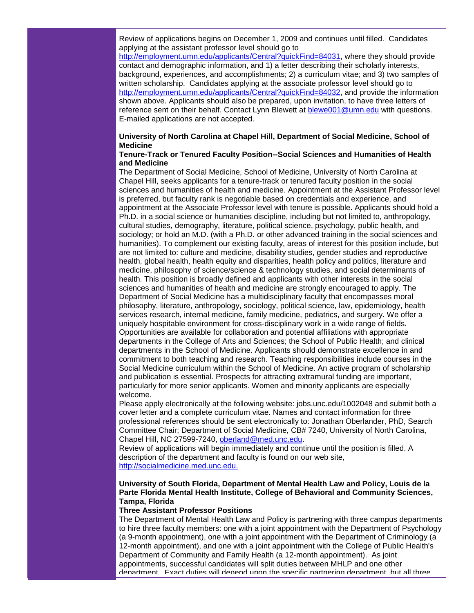Review of applications begins on December 1, 2009 and continues until filled. Candidates applying at the assistant professor level should go to

[http://employment.umn.edu/applicants/Central?quickFind=84031,](http://rs6.net/tn.jsp?et=1102823849258&s=1103&e=001IepDW2alSJLU5Hy90KrHWPAgK2_31ESc6-2Uv6HH-S0mwZR4NImrvFvZi5vzMLJKhFUe40kJBQcQrRbs5SqaefffNpt4hZDzRNr0cLKCponYyqwx0rO_Q1xfq2OjTwse5l7gC1p0aggFMs6RdISt-s4kaVW_3PgJP3mBp1eibJg=) where they should provide contact and demographic information, and 1) a letter describing their scholarly interests, background, experiences, and accomplishments; 2) a curriculum vitae; and 3) two samples of written scholarship. Candidates applying at the associate professor level should go to [http://employment.umn.edu/applicants/Central?quickFind=84032,](http://rs6.net/tn.jsp?et=1102823849258&s=1103&e=001IepDW2alSJLxPCFIjte0EnNV9U90Seh0HXTMVxSij7-kTnujNSKg9Ua7lKjLysE__yC-IqFlO4R9jTWlQE0mQFTLEMzRN8DR4qXC9jsDqFLbgZhQOpi4gE-5u9g3J68ZYx6_xG2aytFJFV8leI98GM8n93wu63Ox-qGZvEVaeCg=) and provide the information shown above. Applicants should also be prepared, upon invitation, to have three letters of reference sent on their behalf. Contact Lynn Blewett at [blewe001@umn.edu](mailto:blewe001@umn.edu) with questions. E-mailed applications are not accepted.

# **University of North Carolina at Chapel Hill, Department of Social Medicine, School of Medicine**

## **Tenure-Track or Tenured Faculty Position--Social Sciences and Humanities of Health and Medicine**

The Department of Social Medicine, School of Medicine, University of North Carolina at Chapel Hill, seeks applicants for a tenure-track or tenured faculty position in the social sciences and humanities of health and medicine. Appointment at the Assistant Professor level is preferred, but faculty rank is negotiable based on credentials and experience, and appointment at the Associate Professor level with tenure is possible. Applicants should hold a Ph.D. in a social science or humanities discipline, including but not limited to, anthropology, cultural studies, demography, literature, political science, psychology, public health, and sociology; or hold an M.D. (with a Ph.D. or other advanced training in the social sciences and humanities). To complement our existing faculty, areas of interest for this position include, but are not limited to: culture and medicine, disability studies, gender studies and reproductive health, global health, health equity and disparities, health policy and politics, literature and medicine, philosophy of science/science & technology studies, and social determinants of health. This position is broadly defined and applicants with other interests in the social sciences and humanities of health and medicine are strongly encouraged to apply. The Department of Social Medicine has a multidisciplinary faculty that encompasses moral philosophy, literature, anthropology, sociology, political science, law, epidemiology, health services research, internal medicine, family medicine, pediatrics, and surgery. We offer a uniquely hospitable environment for cross-disciplinary work in a wide range of fields. Opportunities are available for collaboration and potential affiliations with appropriate departments in the College of Arts and Sciences; the School of Public Health; and clinical departments in the School of Medicine. Applicants should demonstrate excellence in and commitment to both teaching and research. Teaching responsibilities include courses in the Social Medicine curriculum within the School of Medicine. An active program of scholarship and publication is essential. Prospects for attracting extramural funding are important, particularly for more senior applicants. Women and minority applicants are especially welcome.

Please apply electronically at the following website: jobs.unc.edu/1002048 and submit both a cover letter and a complete curriculum vitae. Names and contact information for three professional references should be sent electronically to: Jonathan Oberlander, PhD, Search Committee Chair; Department of Social Medicine, CB# 7240, University of North Carolina, Chapel Hill, NC 27599-7240, [oberland@med.unc.edu.](mailto:oberland@med.unc.edu)

Review of applications will begin immediately and continue until the position is filled. A description of the department and faculty is found on our web site, [http://socialmedicine.med.unc.edu.](http://rs6.net/tn.jsp?et=1102823849258&s=1103&e=001IepDW2alSJLUo6YBL13PWoH_-zby0yJzNGcPEM3EV-f4E5Bg1YscGlNLO6SoApzaxxESEe8oxLourfrz8WlDTfNDBIkUV-3Rgo_nZRj00FZHIj9KFz03b5JWoygA9EG1)

# **University of South Florida, Department of Mental Health Law and Policy, Louis de la Parte Florida Mental Health Institute, College of Behavioral and Community Sciences, Tampa, Florida**

# **Three Assistant Professor Positions**

The Department of Mental Health Law and Policy is partnering with three campus departments to hire three faculty members: one with a joint appointment with the Department of Psychology (a 9-month appointment), one with a joint appointment with the Department of Criminology (a 12-month appointment), and one with a joint appointment with the College of Public Health's Department of Community and Family Health (a 12-month appointment). As joint appointments, successful candidates will split duties between MHLP and one other department. Exact duties will depend upon the specific partnering department, but all three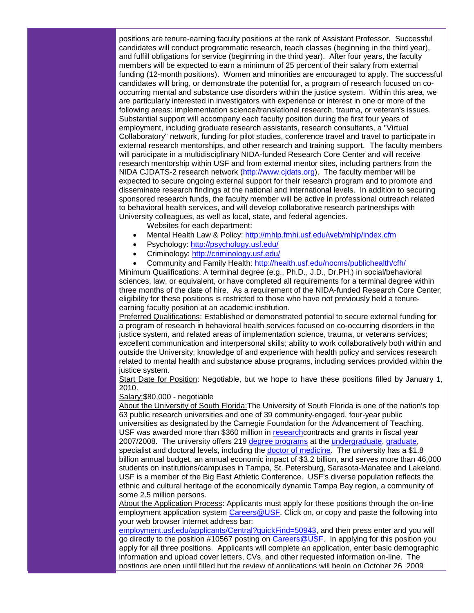positions are tenure-earning faculty positions at the rank of Assistant Professor. Successful candidates will conduct programmatic research, teach classes (beginning in the third year), and fulfill obligations for service (beginning in the third year). After four years, the faculty members will be expected to earn a minimum of 25 percent of their salary from external funding (12-month positions). Women and minorities are encouraged to apply. The successful candidates will bring, or demonstrate the potential for, a program of research focused on cooccurring mental and substance use disorders within the justice system. Within this area, we are particularly interested in investigators with experience or interest in one or more of the following areas: implementation science/translational research, trauma, or veteran's issues. Substantial support will accompany each faculty position during the first four years of employment, including graduate research assistants, research consultants, a "Virtual Collaboratory" network, funding for pilot studies, conference travel and travel to participate in external research mentorships, and other research and training support. The faculty members will participate in a multidisciplinary NIDA-funded Research Core Center and will receive research mentorship within USF and from external mentor sites, including partners from the NIDA CJDATS-2 research network [\(http://www.cjdats.org\)](http://rs6.net/tn.jsp?et=1102823849258&s=1103&e=001IepDW2alSJJt2ainrYyYQlxgxALoBmj_OPSkuwRo7bl2WGpaIwUAa0Bmd2Ir7Wq_TwPNDbfHQ8uuHCdSSnhSlStkQkt-tl27geXZMyQlM6VYRUE_ttu7vQ==). The faculty member will be expected to secure ongoing external support for their research program and to promote and disseminate research findings at the national and international levels. In addition to securing sponsored research funds, the faculty member will be active in professional outreach related to behavioral health services, and will develop collaborative research partnerships with University colleagues, as well as local, state, and federal agencies.

Websites for each department:

- Mental Health Law & Policy: [http://mhlp.fmhi.usf.edu/web/mhlp/index.cfm](http://rs6.net/tn.jsp?et=1102823849258&s=1103&e=001IepDW2alSJKzpMUOUOLO1Ai0DSWZ8kZVTPO-T9kFw1Ne137X5llxvJhQKn1K5b4Z57f2FBtX3XOz_GidUcgEBzg3f2T93-nbCAELDZnkx8q-ERsT8R4HZi12EqxOwcdz_y08kVkAHX9E5MeNtONQig==)
- Psychology: [http://psychology.usf.edu/](http://rs6.net/tn.jsp?et=1102823849258&s=1103&e=001IepDW2alSJLbfXiQTRgm52_NTxugYQG9sKOF_tmDYkwQsciYKMJMh7YHLA1AmlLwxu8EcsMs5i4iptw7kRZMfD_UVSQyfEK9cvMKBByZrOy6ljyDK5sKWw==)
- Criminology: [http://criminology.usf.edu/](http://rs6.net/tn.jsp?et=1102823849258&s=1103&e=001IepDW2alSJKMrtsOoxdNxbj53VoSwet-sMjwwcqFl44upCV4M7ek2vLKzNMDYR8HrDHPuGCJsDzbCVRrSLTGLgWBMbVS0EqfBMQs1FdNhJ24Bp8jfROMYQ==)
- Community and Family Health: [http://health.usf.edu/nocms/publichealth/cfh/](http://rs6.net/tn.jsp?et=1102823849258&s=1103&e=001IepDW2alSJKQ9CEo60hJBsD2yMj3kBpT9YMUigSqT_fqQCDpYByDmzcxCYyoNsi_QJ4BmVJSAjgEPyAMSTq7gMugAkbRfbuG6RfFIecU6dY7og0b5JP6_bL15ChLzxiVnvgcdKgcoEnZGgHqMWv0pQ==)

Minimum Qualifications: A terminal degree (e.g., Ph.D., J.D., Dr.PH.) in social/behavioral sciences, law, or equivalent, or have completed all requirements for a terminal degree within three months of the date of hire. As a requirement of the NIDA-funded Research Core Center, eligibility for these positions is restricted to those who have not previously held a tenureearning faculty position at an academic institution.

Preferred Qualifications: Established or demonstrated potential to secure external funding for a program of research in behavioral health services focused on co-occurring disorders in the justice system, and related areas of implementation science, trauma, or veterans services; excellent communication and interpersonal skills; ability to work collaboratively both within and outside the University; knowledge of and experience with health policy and services research related to mental health and substance abuse programs, including services provided within the justice system.

Start Date for Position: Negotiable, but we hope to have these positions filled by January 1, 2010.

Salary:\$80,000 - negotiable

About the University of South Florida:The University of South Florida is one of the nation's top 63 public research universities and one of 39 community-engaged, four-year public universities as designated by the Carnegie Foundation for the Advancement of Teaching. USF was awarded more than \$360 million in [researchc](http://rs6.net/tn.jsp?et=1102823849258&s=1103&e=001IepDW2alSJLAUoXU5nCQeaF18QBrHcy6ieDPbDtwFebuiDZ_NSgBmu6_raQmMpYbJofcACzr7XVwafUoiMr-0o56-6CnqKD3sNGsLn3HnYTRPqCv64pJrg==)ontracts and grants in fiscal year 2007/2008. The university offers 219 [degree programs](http://rs6.net/tn.jsp?et=1102823849258&s=1103&e=001IepDW2alSJLluDBKOLaN8oJAC3MhTSZqr339xx9ekJECL4g4aIeOObkuWYxxJE7-p_YVB-dQy0TUpwpywCHiu_1jDe-VkYXmUOQVGgpFyjYji3lRDS7UMPqDaoB-RFlk) at the [undergraduate,](http://rs6.net/tn.jsp?et=1102823849258&s=1103&e=001IepDW2alSJKiolPpGY-qfxCoR12QsdTxgjbpjFfYZs6mkpvTRsH35LwxP6yj0TVxcuLnR5zwfuOoqzLFDgE73UA5JesKgkt1GXSHgEGnAg-UAyjdxwteDLmkx-bggcOz) [graduate,](http://rs6.net/tn.jsp?et=1102823849258&s=1103&e=001IepDW2alSJI4UD5u5-bo5LdwelpylRBU_0410qFfyuvmvfCzvW1Lm73D4hC1175w9b-HUPl4512ufCnKjBJ1gbBmV5U5OITu4rjgUa5jea3GHhbSEQeYdaKVCSP52OZ9OQtZaRUmxINhJlmFWPCzLA==) specialist and doctoral levels, including the [doctor of medicine.](http://rs6.net/tn.jsp?et=1102823849258&s=1103&e=001IepDW2alSJI6h9MGjVL9fUMoAovlKrn4vx4-gfuEC9QKvVF42Lh2bSi8Z82xqZ0i-eCLuX1u4g_JKmZ3SwEDLO71jyJThM_ZtZjpRlnBwVeUBGDX9dF2SqjXFMJAaZRgCilMefWXxO9VTK_OmU67rhh9GvHorpnS) The university has a \$1.8 billion annual budget, an annual economic impact of \$3.2 billion, and serves more than 46,000 students on institutions/campuses in Tampa, St. Petersburg, Sarasota-Manatee and Lakeland. USF is a member of the Big East Athletic Conference. USF's diverse population reflects the ethnic and cultural heritage of the economically dynamic Tampa Bay region, a community of some 2.5 million persons.

About the Application Process: Applicants must apply for these positions through the on-line employment application system [Careers@USF.](http://rs6.net/tn.jsp?et=1102823849258&s=1103&e=001IepDW2alSJIuXgRe_AMC8CpW_9guI8mvKxgX-CYUJhlOa9uLhta7PghkuS2qG2RvO6HOXn72xRYG64BWpFyz6O5j76whGcy9BOgHeJTN9c1I3SSiiKHmK5dSYFRNd9423T6R4ZsQgGP4hhkvLxLTUKM1660aw7_oeHHc6sqwy0-V8kRAVvKJcQ==) Click on, or copy and paste the following into your web browser internet address bar:

[employment.usf.edu/applicants/Central?quickFind=50943,](http://rs6.net/tn.jsp?et=1102823849258&s=1103&e=001IepDW2alSJLOVB4kNNN45mYdQ0HcxYp9zO9KOBRgK1pfchJl34zGe2RPMuElFGaYZOEXQuyTSCLZuAERysw1vjUWSImWkn_7TNvsTEbpdm399JhC5bIB1K6KM3ZxObtIaL1aiVEd7kd-gS7FAfMiV4nqth1sI9cGoQkEFVt_H_A=) and then press enter and you will go directly to the position #10567 posting on [Careers@USF.](http://rs6.net/tn.jsp?et=1102823849258&s=1103&e=001IepDW2alSJIuXgRe_AMC8CpW_9guI8mvKxgX-CYUJhlOa9uLhta7PghkuS2qG2RvO6HOXn72xRYG64BWpFyz6O5j76whGcy9BOgHeJTN9c1I3SSiiKHmK5dSYFRNd9423T6R4ZsQgGP4hhkvLxLTUKM1660aw7_oeHHc6sqwy0-V8kRAVvKJcQ==) In applying for this position you apply for all three positions. Applicants will complete an application, enter basic demographic information and upload cover letters, CVs, and other requested information on-line. The postings are open until filled but the review of applications will begin on October 26, 2009.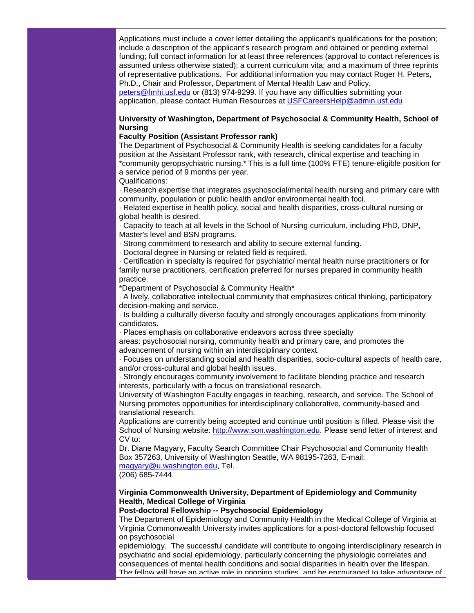Applications must include a cover letter detailing the applicant's qualifications for the position; include a description of the applicant's research program and obtained or pending external funding; full contact information for at least three references (approval to contact references is assumed unless otherwise stated); a current curriculum vita; and a maximum of three reprints of representative publications. For additional information you may contact Roger H. Peters, Ph.D., Chair and Professor, Department of Mental Health Law and Policy, [peters@fmhi.usf.edu](mailto:peters@fmhi.usf.edu) or (813) 974-9299. If you have any difficulties submitting your application, please contact Human Resources at [USFCareersHelp@admin.usf.edu](mailto:USFCareersHelp@admin.usf.edu)

# **University of Washington, Department of Psychosocial & Community Health, School of Nursing**

# **Faculty Position (Assistant Professor rank)**

The Department of Psychosocial & Community Health is seeking candidates for a faculty position at the Assistant Professor rank, with research, clinical expertise and teaching in \*community geropsychiatric nursing.\* This is a full time (100% FTE) tenure-eligible position for a service period of 9 months per year.

Qualifications:

· Research expertise that integrates psychosocial/mental health nursing and primary care with community, population or public health and/or environmental health foci.

· Related expertise in health policy, social and health disparities, cross-cultural nursing or global health is desired.

· Capacity to teach at all levels in the School of Nursing curriculum, including PhD, DNP, Master's level and BSN programs.

· Strong commitment to research and ability to secure external funding.

· Doctoral degree in Nursing or related field is required.

· Certification in specialty is required for psychiatric/ mental health nurse practitioners or for family nurse practitioners, certification preferred for nurses prepared in community health practice.

\*Department of Psychosocial & Community Health\*

· A lively, collaborative intellectual community that emphasizes critical thinking, participatory decision-making and service.

· Is building a culturally diverse faculty and strongly encourages applications from minority candidates.

· Places emphasis on collaborative endeavors across three specialty

areas: psychosocial nursing, community health and primary care, and promotes the advancement of nursing within an interdisciplinary context.

· Focuses on understanding social and health disparities, socio-cultural aspects of health care, and/or cross-cultural and global health issues.

· Strongly encourages community involvement to facilitate blending practice and research interests, particularly with a focus on translational research.

University of Washington Faculty engages in teaching, research, and service. The School of Nursing promotes opportunities for interdisciplinary collaborative, community-based and translational research.

Applications are currently being accepted and continue until position is filled. Please visit the School of Nursing website: [http://www.son.washington.edu.](http://rs6.net/tn.jsp?et=1102823849258&s=1103&e=001IepDW2alSJIrdUuFqRe3nAH8hs_AmBnq9dMz77GIbCzfsvGEpCcVplx-xWBYjD3aSzT0UGi_y7_laatO8IxqyB94O6wYIt1xKdRU7tfHtmpX-gi7IIxB6vswFuN8grHI) Please send letter of interest and CV to:

Dr. Diane Magyary, Faculty Search Committee Chair Psychosocial and Community Health Box 357263, University of Washington Seattle, WA 98195-7263, E-mail:

[magyary@u.washington.edu,](mailto:magyary@u.washington.edu) Tel.

(206) 685-7444.

#### **Virginia Commonwealth University, Department of Epidemiology and Community Health, Medical College of Virginia**

# **Post-doctoral Fellowship -- Psychosocial Epidemiology**

The Department of Epidemiology and Community Health in the Medical College of Virginia at Virginia Commonwealth University invites applications for a post-doctoral fellowship focused on psychosocial

epidemiology. The successful candidate will contribute to ongoing interdisciplinary research in psychiatric and social epidemiology, particularly concerning the physiologic correlates and consequences of mental health conditions and social disparities in health over the lifespan. The fellow will have an active role in ongoing studies, and be encouraged to take advantage of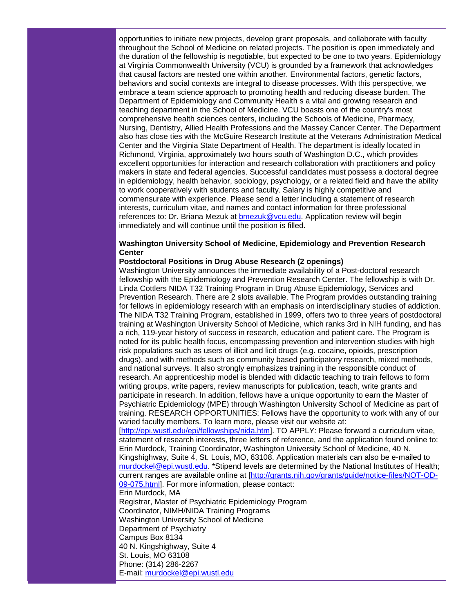opportunities to initiate new projects, develop grant proposals, and collaborate with faculty throughout the School of Medicine on related projects. The position is open immediately and the duration of the fellowship is negotiable, but expected to be one to two years. Epidemiology at Virginia Commonwealth University (VCU) is grounded by a framework that acknowledges that causal factors are nested one within another. Environmental factors, genetic factors, behaviors and social contexts are integral to disease processes. With this perspective, we embrace a team science approach to promoting health and reducing disease burden. The Department of Epidemiology and Community Health s a vital and growing research and teaching department in the School of Medicine. VCU boasts one of the country's most comprehensive health sciences centers, including the Schools of Medicine, Pharmacy, Nursing, Dentistry, Allied Health Professions and the Massey Cancer Center. The Department also has close ties with the McGuire Research Institute at the Veterans Administration Medical Center and the Virginia State Department of Health. The department is ideally located in Richmond, Virginia, approximately two hours south of Washington D.C., which provides excellent opportunities for interaction and research collaboration with practitioners and policy makers in state and federal agencies. Successful candidates must possess a doctoral degree in epidemiology, health behavior, sociology, psychology, or a related field and have the ability to work cooperatively with students and faculty. Salary is highly competitive and commensurate with experience. Please send a letter including a statement of research interests, curriculum vitae, and names and contact information for three professional references to: Dr. Briana Mezuk at [bmezuk@vcu.edu.](mailto:bmezuk@vcu.edu) Application review will begin immediately and will continue until the position is filled.

# **Washington University School of Medicine, Epidemiology and Prevention Research Center**

#### **Postdoctoral Positions in Drug Abuse Research (2 openings)**

Washington University announces the immediate availability of a Post-doctoral research fellowship with the Epidemiology and Prevention Research Center. The fellowship is with Dr. Linda Cottlers NIDA T32 Training Program in Drug Abuse Epidemiology, Services and Prevention Research. There are 2 slots available. The Program provides outstanding training for fellows in epidemiology research with an emphasis on interdisciplinary studies of addiction. The NIDA T32 Training Program, established in 1999, offers two to three years of postdoctoral training at Washington University School of Medicine, which ranks 3rd in NIH funding, and has a rich, 119-year history of success in research, education and patient care. The Program is noted for its public health focus, encompassing prevention and intervention studies with high risk populations such as users of illicit and licit drugs (e.g. cocaine, opioids, prescription drugs), and with methods such as community based participatory research, mixed methods, and national surveys. It also strongly emphasizes training in the responsible conduct of research. An apprenticeship model is blended with didactic teaching to train fellows to form writing groups, write papers, review manuscripts for publication, teach, write grants and participate in research. In addition, fellows have a unique opportunity to earn the Master of Psychiatric Epidemiology (MPE) through Washington University School of Medicine as part of training. RESEARCH OPPORTUNITIES: Fellows have the opportunity to work with any of our varied faculty members. To learn more, please visit our website at:

[\[http://epi.wustl.edu/epi/fellowships/nida.htm\]](http://rs6.net/tn.jsp?et=1102823849258&s=1103&e=001IepDW2alSJLRcNRGp1kJ7ZYksOhSpIuoeJJWAcQFQE5UbXCr3bQCEturNZNBgucS_tzZcjqi4VWHPdpYLBaTMCMP8PXdIOEJ_ZOKAJQDBwSdmyIpvBBwJILaigJzIKPjbJpo0LFoVcnwPeaepwgmNg==). TO APPLY: Please forward a curriculum vitae, statement of research interests, three letters of reference, and the application found online to: Erin Murdock, Training Coordinator, Washington University School of Medicine, 40 N. Kingshighway, Suite 4, St. Louis, MO, 63108. Application materials can also be e-mailed to [murdockel@epi.wustl.edu.](mailto:murdockel@epi.wustl.edu) \*Stipend levels are determined by the National Institutes of Health; current ranges are available online at [\[http://grants.nih.gov/grants/guide/notice-files/NOT-OD-](http://rs6.net/tn.jsp?et=1102823849258&s=1103&e=001IepDW2alSJIEqG7AhONtVFwRxW1CTyx6ixHhq_KLDCSE037ZrBIMxO6Wg9MHFwdLugTEEUd9zDqouEaMcZJlFCS6dPTz6kKr4oHKWoDcOf0-F1_cHLrktnQ-hxTU2o6Ho0OQVblbwSFbj2rUrAwbkaZ1B9jlqadiFaHdd_E-MqJzmmu6If9PAA==)[09-075.html\]](http://rs6.net/tn.jsp?et=1102823849258&s=1103&e=001IepDW2alSJIEqG7AhONtVFwRxW1CTyx6ixHhq_KLDCSE037ZrBIMxO6Wg9MHFwdLugTEEUd9zDqouEaMcZJlFCS6dPTz6kKr4oHKWoDcOf0-F1_cHLrktnQ-hxTU2o6Ho0OQVblbwSFbj2rUrAwbkaZ1B9jlqadiFaHdd_E-MqJzmmu6If9PAA==). For more information, please contact:

Erin Murdock, MA

Registrar, Master of Psychiatric Epidemiology Program Coordinator, NIMH/NIDA Training Programs Washington University School of Medicine Department of Psychiatry Campus Box 8134 40 N. Kingshighway, Suite 4 St. Louis, MO 63108 Phone: (314) 286-2267 E-mail: [murdockel@epi.wustl.edu](mailto:murdockel@epi.wustl.edu)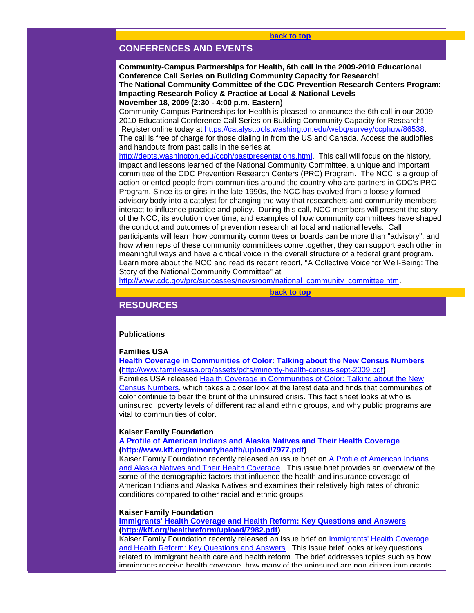# <span id="page-22-0"></span>**CONFERENCES AND EVENTS**

**Community-Campus Partnerships for Health, 6th call in the 2009-2010 Educational Conference Call Series on Building Community Capacity for Research! The National Community Committee of the CDC Prevention Research Centers Program: Impacting Research Policy & Practice at Local & National Levels November 18, 2009 (2:30 - 4:00 p.m. Eastern)**

Community-Campus Partnerships for Health is pleased to announce the 6th call in our 2009- 2010 Educational Conference Call Series on Building Community Capacity for Research! Register online today at [https://catalysttools.washington.edu/webq/survey/ccphuw/86538.](http://rs6.net/tn.jsp?et=1102823849258&s=1103&e=001IepDW2alSJJMvQK5bJx7JAKGWXxPoMZcSwAoFVJoCAQrd_vuv1yQLD3NwIqP4qV2Yjk1-KgrhxqqiBrgP5yNJPPOljv9oTcMao3ZeJkLnDCtRVvxmh85dF_HHN7wwfz4glMAN3iALZF-jBQgXo16MQnS3-D70Vlbs3oSDHW40iw=) The call is free of charge for those dialing in from the US and Canada. Access the audiofiles and handouts from past calls in the series at

[http://depts.washington.edu/ccph/pastpresentations.html.](http://rs6.net/tn.jsp?et=1102823849258&s=1103&e=001IepDW2alSJLIAR17lTHBiLpkmrsmGPffwyinQ1-52K2MjB7BWH7-eQcpSw_Mmk2KS8OpS2KHC_9x3Mr6OH7giCj_1_Au7gRnviB7zeKJJ0UwcFX8rtlbCKUnC40NDAwMG6yCvFf9KRrQ5RmqlJ9_2lBfsj77vexp) This call will focus on the history, impact and lessons learned of the National Community Committee, a unique and important committee of the CDC Prevention Research Centers (PRC) Program. The NCC is a group of action-oriented people from communities around the country who are partners in CDC's PRC Program. Since its origins in the late 1990s, the NCC has evolved from a loosely formed advisory body into a catalyst for changing the way that researchers and community members interact to influence practice and policy. During this call, NCC members will present the story of the NCC, its evolution over time, and examples of how community committees have shaped the conduct and outcomes of prevention research at local and national levels. Call participants will learn how community committees or boards can be more than "advisory", and how when reps of these community committees come together, they can support each other in meaningful ways and have a critical voice in the overall structure of a federal grant program. Learn more about the NCC and read its recent report, "A Collective Voice for Well-Being: The Story of the National Community Committee" at

[http://www.cdc.gov/prc/successes/newsroom/national\\_community\\_committee.htm.](http://rs6.net/tn.jsp?et=1102823849258&s=1103&e=001IepDW2alSJLDfEQxdlmR1NzU286Bufjlwl513ODJ4epvRUUnaipS0XOj4uCvrfkhE3QY-DibMXBTq6vzXUfXI5HcnYRqZc6_sM_xQyb5Z7d83hvbxivFRyQEpKzQobvqDNLs8vZt8KZ07_Asqn7c8FWbPmXSasPa0mYTvucmXLnfG5lhXzx539mDLJO35nEg)

#### **[back to top](#page-0-1)**

## <span id="page-22-1"></span>**RESOURCES**

#### **Publications**

#### **Families USA**

**[Health Coverage in Communities of Color: Talking about the New Census Numbers](http://rs6.net/tn.jsp?et=1102823849258&s=1103&e=001IepDW2alSJJDjF2krMcLXIGRK1Ub4-x8hPdNSz3xxoV05EJjU6rvuQoro7m-uJIY2fLwysOstdx80_B6JcXDzG8pEYBtf0X33NCYGWD3hA9X0D3Fb02RUIVQVuH-7GinQ2G7xqP2-WVS-qpCD8QH2rBF82cirSoMqQWekiiS6kN9ScqI2GAOZdMXY5jsrKXO) (**[http://www.familiesusa.org/assets/pdfs/minority-health-census-sept-2009.pdf](http://rs6.net/tn.jsp?et=1102823849258&s=1103&e=001IepDW2alSJJDjF2krMcLXIGRK1Ub4-x8hPdNSz3xxoV05EJjU6rvuQoro7m-uJIY2fLwysOstdx80_B6JcXDzG8pEYBtf0X33NCYGWD3hA9X0D3Fb02RUIVQVuH-7GinQ2G7xqP2-WVS-qpCD8QH2rBF82cirSoMqQWekiiS6kN9ScqI2GAOZdMXY5jsrKXO)**)**  Families USA released [Health Coverage in Communities of Color: Talking about the New](http://rs6.net/tn.jsp?et=1102823849258&s=1103&e=001IepDW2alSJJDjF2krMcLXIGRK1Ub4-x8hPdNSz3xxoV05EJjU6rvuQoro7m-uJIY2fLwysOstdx80_B6JcXDzG8pEYBtf0X33NCYGWD3hA9X0D3Fb02RUIVQVuH-7GinQ2G7xqP2-WVS-qpCD8QH2rBF82cirSoMqQWekiiS6kN9ScqI2GAOZdMXY5jsrKXO)  [Census Numbers,](http://rs6.net/tn.jsp?et=1102823849258&s=1103&e=001IepDW2alSJJDjF2krMcLXIGRK1Ub4-x8hPdNSz3xxoV05EJjU6rvuQoro7m-uJIY2fLwysOstdx80_B6JcXDzG8pEYBtf0X33NCYGWD3hA9X0D3Fb02RUIVQVuH-7GinQ2G7xqP2-WVS-qpCD8QH2rBF82cirSoMqQWekiiS6kN9ScqI2GAOZdMXY5jsrKXO) which takes a closer look at the latest data and finds that communities of color continue to bear the brunt of the uninsured crisis. This fact sheet looks at who is uninsured, poverty levels of different racial and ethnic groups, and why public programs are vital to communities of color.

#### **Kaiser Family Foundation**

# **[A Profile of American Indians and Alaska Natives and Their Health Coverage](http://rs6.net/tn.jsp?et=1102823849258&s=1103&e=001IepDW2alSJJQrMM4gBeeE6A-ch9sv9sp1V5sN0nW75bxmKGx9w0E7xCh7Xp9XD7bkqcHjkLfWzSosmfoW-zG4miQtvokacwxGDbWxOYvCMDVG9Xu5ltllBguILiy44jPK5gLKPSpynb1VaSVBlXPiQ==) [\(http://www.kff.org/minorityhealth/upload/7977.pdf\)](http://rs6.net/tn.jsp?et=1102823849258&s=1103&e=001IepDW2alSJJQrMM4gBeeE6A-ch9sv9sp1V5sN0nW75bxmKGx9w0E7xCh7Xp9XD7bkqcHjkLfWzSosmfoW-zG4miQtvokacwxGDbWxOYvCMDVG9Xu5ltllBguILiy44jPK5gLKPSpynb1VaSVBlXPiQ==)**

Kaiser Family Foundation recently released an issue brief on [A Profile of American Indians](http://rs6.net/tn.jsp?et=1102823849258&s=1103&e=001IepDW2alSJJQrMM4gBeeE6A-ch9sv9sp1V5sN0nW75bxmKGx9w0E7xCh7Xp9XD7bkqcHjkLfWzSosmfoW-zG4miQtvokacwxGDbWxOYvCMDVG9Xu5ltllBguILiy44jPK5gLKPSpynb1VaSVBlXPiQ==)  [and Alaska Natives and Their Health Coverage.](http://rs6.net/tn.jsp?et=1102823849258&s=1103&e=001IepDW2alSJJQrMM4gBeeE6A-ch9sv9sp1V5sN0nW75bxmKGx9w0E7xCh7Xp9XD7bkqcHjkLfWzSosmfoW-zG4miQtvokacwxGDbWxOYvCMDVG9Xu5ltllBguILiy44jPK5gLKPSpynb1VaSVBlXPiQ==) This issue brief provides an overview of the some of the demographic factors that influence the health and insurance coverage of American Indians and Alaska Natives and examines their relatively high rates of chronic conditions compared to other racial and ethnic groups.

#### **Kaiser Family Foundation**

**[Immigrants' Health Coverage and Health Reform: Key Questions and Answers](http://rs6.net/tn.jsp?et=1102823849258&s=1103&e=001IepDW2alSJLN2xMeFHxh3e1ACGfecpJqHndoHEZxszNVW1PmoYMEVHAAfd14anmagYsGxMlZS1lK8vG1zfYDMl2qItlS7jTUQWP637f2WaFzjeB9dQrNRytMGtK6vxhPPucXPahxH8sadrjyVYO0pg==) [\(http://kff.org/healthreform/upload/7982.pdf\)](http://rs6.net/tn.jsp?et=1102823849258&s=1103&e=001IepDW2alSJLN2xMeFHxh3e1ACGfecpJqHndoHEZxszNVW1PmoYMEVHAAfd14anmagYsGxMlZS1lK8vG1zfYDMl2qItlS7jTUQWP637f2WaFzjeB9dQrNRytMGtK6vxhPPucXPahxH8sadrjyVYO0pg==)** 

Kaiser Family Foundation recently released an issue brief on [Immigrants' Health Coverage](http://rs6.net/tn.jsp?et=1102823849258&s=1103&e=001IepDW2alSJLN2xMeFHxh3e1ACGfecpJqHndoHEZxszNVW1PmoYMEVHAAfd14anmagYsGxMlZS1lK8vG1zfYDMl2qItlS7jTUQWP637f2WaFzjeB9dQrNRytMGtK6vxhPPucXPahxH8sadrjyVYO0pg==)  [and Health Reform: Key Questions and Answers.](http://rs6.net/tn.jsp?et=1102823849258&s=1103&e=001IepDW2alSJLN2xMeFHxh3e1ACGfecpJqHndoHEZxszNVW1PmoYMEVHAAfd14anmagYsGxMlZS1lK8vG1zfYDMl2qItlS7jTUQWP637f2WaFzjeB9dQrNRytMGtK6vxhPPucXPahxH8sadrjyVYO0pg==) This issue brief looks at key questions related to immigrant health care and health reform. The brief addresses topics such as how immigrants receive health coverage, how many of the uninsured are non-citizen immigrants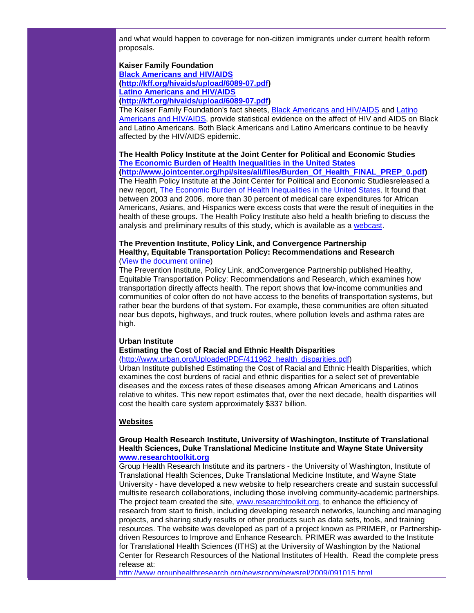and what would happen to coverage for non-citizen immigrants under current health reform proposals.

#### **Kaiser Family Foundation [Black Americans and HIV/AIDS](http://rs6.net/tn.jsp?et=1102823849258&s=1103&e=001IepDW2alSJK3SA3_I1wwhUVDF7kGtxL2-rj6YTCSwCaKDSFRV77i7WK4EP5Uu-BojC2eEOnRJyyeUXK57dOl0scoQ6jhzgkCFZwLGBseb4f1Tihggdl6xEHRPYUl8xpbpDorScAFx68=) [\(http://kff.org/hivaids/upload/6089-07.pdf\)](http://rs6.net/tn.jsp?et=1102823849258&s=1103&e=001IepDW2alSJK3SA3_I1wwhUVDF7kGtxL2-rj6YTCSwCaKDSFRV77i7WK4EP5Uu-BojC2eEOnRJyyeUXK57dOl0scoQ6jhzgkCFZwLGBseb4f1Tihggdl6xEHRPYUl8xpbpDorScAFx68=) [Latino Americans and HIV/AIDS](http://rs6.net/tn.jsp?et=1102823849258&s=1103&e=001IepDW2alSJK6vV64m4rMaMhSvi2UjG2rYU8Xi73YZHSK98GcmdDKZQTcgVRRt_vc5j6QgHgf-pk1HeIDCq45bx2dx68AzQCRQuODZ55RYawk7HLLhThoi4D2TdyDCeRNSqsoA8abUCA=) [\(http://kff.org/hivaids/upload/6089-07.pdf\)](http://rs6.net/tn.jsp?et=1102823849258&s=1103&e=001IepDW2alSJK3SA3_I1wwhUVDF7kGtxL2-rj6YTCSwCaKDSFRV77i7WK4EP5Uu-BojC2eEOnRJyyeUXK57dOl0scoQ6jhzgkCFZwLGBseb4f1Tihggdl6xEHRPYUl8xpbpDorScAFx68=)**

The Kaiser Family Foundation's fact sheets, [Black Americans and HIV/AIDS](http://rs6.net/tn.jsp?et=1102823849258&s=1103&e=001IepDW2alSJK3SA3_I1wwhUVDF7kGtxL2-rj6YTCSwCaKDSFRV77i7WK4EP5Uu-BojC2eEOnRJyyeUXK57dOl0scoQ6jhzgkCFZwLGBseb4f1Tihggdl6xEHRPYUl8xpbpDorScAFx68=) and [Latino](http://rs6.net/tn.jsp?et=1102823849258&s=1103&e=001IepDW2alSJK6vV64m4rMaMhSvi2UjG2rYU8Xi73YZHSK98GcmdDKZQTcgVRRt_vc5j6QgHgf-pk1HeIDCq45bx2dx68AzQCRQuODZ55RYawk7HLLhThoi4D2TdyDCeRNSqsoA8abUCA=)  [Americans and HIV/AIDS,](http://rs6.net/tn.jsp?et=1102823849258&s=1103&e=001IepDW2alSJK6vV64m4rMaMhSvi2UjG2rYU8Xi73YZHSK98GcmdDKZQTcgVRRt_vc5j6QgHgf-pk1HeIDCq45bx2dx68AzQCRQuODZ55RYawk7HLLhThoi4D2TdyDCeRNSqsoA8abUCA=) provide statistical evidence on the affect of HIV and AIDS on Black and Latino Americans. Both Black Americans and Latino Americans continue to be heavily affected by the HIV/AIDS epidemic.

# **The Health Policy Institute at the Joint Center for Political and Economic Studies [The Economic Burden of Health Inequalities in the United States](http://rs6.net/tn.jsp?et=1102823849258&s=1103&e=001IepDW2alSJJfbNp0mtSDH5fIwWlBD2KPXBAdiQlkVoCt-QAFMLejKMfdrAxwJmrANlkqyIiAMN-rRLKhbvorg9k-2jVwwWUukzVaHW2WPuVJBj4QO-WxDki91qMlG4DzVTq9qNOkhWaU4xAtYfwVFEggLw_d62xWV_Cp-lr3PJ2KiPggjNELQSMOHWkSxGNG9utcCEZTjYU=)**

**[\(http://www.jointcenter.org/hpi/sites/all/files/Burden\\_Of\\_Health\\_FINAL\\_PREP\\_0.pdf\)](http://rs6.net/tn.jsp?et=1102823849258&s=1103&e=001IepDW2alSJJfbNp0mtSDH5fIwWlBD2KPXBAdiQlkVoCt-QAFMLejKMfdrAxwJmrANlkqyIiAMN-rRLKhbvorg9k-2jVwwWUukzVaHW2WPuVJBj4QO-WxDki91qMlG4DzVTq9qNOkhWaU4xAtYfwVFEggLw_d62xWV_Cp-lr3PJ2KiPggjNELQSMOHWkSxGNG9utcCEZTjYU=)** The Health Policy Institute at the Joint Center for Political and Economic Studiesreleased a new report, [The Economic Burden of Health Inequalities in the United States.](http://rs6.net/tn.jsp?et=1102823849258&s=1103&e=001IepDW2alSJJfbNp0mtSDH5fIwWlBD2KPXBAdiQlkVoCt-QAFMLejKMfdrAxwJmrANlkqyIiAMN-rRLKhbvorg9k-2jVwwWUukzVaHW2WPuVJBj4QO-WxDki91qMlG4DzVTq9qNOkhWaU4xAtYfwVFEggLw_d62xWV_Cp-lr3PJ2KiPggjNELQSMOHWkSxGNG9utcCEZTjYU=) It found that between 2003 and 2006, more than 30 percent of medical care expenditures for African Americans, Asians, and Hispanics were excess costs that were the result of inequities in the health of these groups. The Health Policy Institute also held a health briefing to discuss the analysis and preliminary results of this study, which is available as a [webcast.](http://rs6.net/tn.jsp?et=1102823849258&s=1103&e=001IepDW2alSJLYfq211AvUPfoLExoP8Ajsb5Jpgq0qf0wsnAs13RXkaBd6N3McqAaHjAGfVBOfAgkcURkMAmBhxR5Nw992viqtOdvZN4w-wzr9LvLrQm26yCZc1oHfbOyxBC9-oCGNlmR7A79HKOuu0yGAICdgcnmVhOCXnDDvEZ5Y26HZ3bntWI7R2nnPa5aXe7-IykjeNLhk3k701hsivsmjSofEOi2B9eaU8dygSxHVYBFWqbR6FmF9aWtZ72eaG23OHwEYQLY=)

#### **The Prevention Institute, Policy Link, and Convergence Partnership Healthy, Equitable Transportation Policy: Recommendations and Research** [\(View the document online\)](http://rs6.net/tn.jsp?et=1102823849258&s=1103&e=001IepDW2alSJLo1IYX7V-mUEf5tTxvXjOneBRu2c3vfZgZ9LmsiYGKLBT83lkbma0POFhzVisYmtf9AC3wGR2bUFWTq2kuh9M5pORmRfGPII5XaMIu01I57atOQfwDAF4hEftgFrknf7YA2S2ZTk84HyYufTJIUApB6XM_m3_XPHRT0PbZA91yBlFLwdHbSH4Qe3eaW6gGTz25SeL1PMOnMqSEKsWy6fSiPL2Tjn_Uj5ny8hOYO6EH9uqep4Vi2RHk)

The Prevention Institute, Policy Link, andConvergence Partnership published Healthy, Equitable Transportation Policy: Recommendations and Research, which examines how transportation directly affects health. The report shows that low-income communities and communities of color often do not have access to the benefits of transportation systems, but rather bear the burdens of that system. For example, these communities are often situated near bus depots, highways, and truck routes, where pollution levels and asthma rates are high.

#### **Urban Institute**

#### **Estimating the Cost of Racial and Ethnic Health Disparities**

(http://www.urban.org/UploadedPDF/411962 health\_disparities.pdf)

Urban Institute published Estimating the Cost of Racial and Ethnic Health Disparities, which examines the cost burdens of racial and ethnic disparities for a select set of preventable diseases and the excess rates of these diseases among African Americans and Latinos relative to whites. This new report estimates that, over the next decade, health disparities will cost the health care system approximately \$337 billion.

# **Websites**

#### **Group Health Research Institute, University of Washington, Institute of Translational Health Sciences, Duke Translational Medicine Institute and Wayne State University [www.researchtoolkit.org](http://rs6.net/tn.jsp?et=1102823849258&s=1103&e=001IepDW2alSJIY3w7jfTvt-44Vi1j0Qv7hRuci-ZJ_YrpZNC02CaDTtHynNRpm3FPq1zk_V25YftDQ1euW1tH1wn7KezPtr1nC2j8TepXeGnTs4rg1MmhX6EQ5uM0pQ8is)**

Group Health Research Institute and its partners - the University of Washington, Institute of Translational Health Sciences, Duke Translational Medicine Institute, and Wayne State University - have developed a new website to help researchers create and sustain successful multisite research collaborations, including those involving community-academic partnerships. The project team created the site, [www.researchtoolkit.org,](http://rs6.net/tn.jsp?et=1102823849258&s=1103&e=001IepDW2alSJIY3w7jfTvt-44Vi1j0Qv7hRuci-ZJ_YrpZNC02CaDTtHynNRpm3FPq1zk_V25YftDQ1euW1tH1wn7KezPtr1nC2j8TepXeGnTs4rg1MmhX6EQ5uM0pQ8is) to enhance the efficiency of research from start to finish, including developing research networks, launching and managing projects, and sharing study results or other products such as data sets, tools, and training resources. The website was developed as part of a project known as PRIMER, or Partnershipdriven Resources to Improve and Enhance Research. PRIMER was awarded to the Institute for Translational Health Sciences (ITHS) at the University of Washington by the National Center for Research Resources of the National Institutes of Health. Read the complete press release at:

[http://www.grouphealthresearch.org/newsroom/newsrel/2009/091015.html](http://rs6.net/tn.jsp?et=1102823849258&s=1103&e=001IepDW2alSJIXxiP3E2hazTBOhsXcWRRo00K61pJ2sT1JQa08mCZ8XXTrbTzI2CrkECC0OeZfMO-4SZCtdeo3bJgz_XJGj0qAWTQu0l-XTCVNd9jZfCz5A4rpHGogkiGrhkQFJBwQmJaiVSGMv3pBRR--4ZN9UPpXvPt-eZNKykGGDVqC6s_xRg==)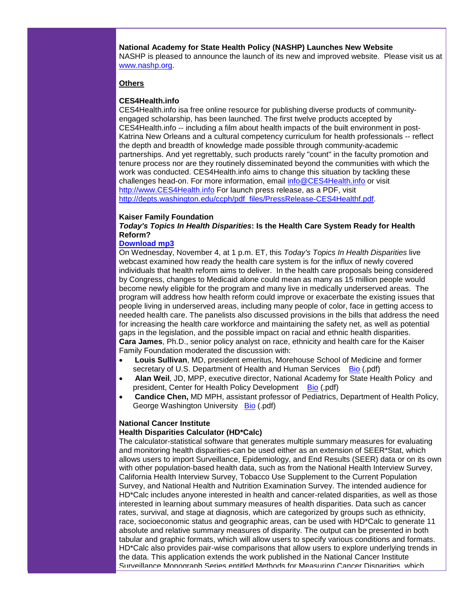**National Academy for State Health Policy (NASHP) Launches New Website**  NASHP is pleased to announce the launch of its new and improved website. Please visit us at [www.nashp.org.](http://rs6.net/tn.jsp?et=1102823849258&s=1103&e=001IepDW2alSJL12SH67_JYVxSv2T4Iek0y1ltvT7rHHfKkAIFeqoRt9z6HQPaGq8xiF4QzV59bIc8VsN_Gk7UisDiFyCGlc06guoGxgTxlon-XSGE4lwR8l05Bi90LxVqhFS4c_jcLVwtEqiDCle11JkXCFZy_gpkPsNLHlMVI4Ic-57JihRmzHRINK3wkq5XLQRWqe8EGhvlpwfZkLcBlYrmSX5lF2AC1Seg-2oDEdOwzyMn8rvPI7qHNXLD2kxbT__8B03Bh0Vjw-T-wayh9LEmqfHe6oWqUrkekUlXToLUXP1Zl--Pr_dwlpY8uwhSfsvaS_t0uYsc=)

## **Others**

#### **CES4Health.info**

CES4Health.info isa free online resource for publishing diverse products of communityengaged scholarship, has been launched. The first twelve products accepted by CES4Health.info -- including a film about health impacts of the built environment in post-Katrina New Orleans and a cultural competency curriculum for health professionals -- reflect the depth and breadth of knowledge made possible through community-academic partnerships. And yet regrettably, such products rarely "count" in the faculty promotion and tenure process nor are they routinely disseminated beyond the communities with which the work was conducted. CES4Health.info aims to change this situation by tackling these challenges head-on. For more information, email [info@CES4Health.info](mailto:info@CES4Health.info) or visit [http://www.CES4Health.info](http://rs6.net/tn.jsp?et=1102823849258&s=1103&e=001IepDW2alSJIL2rAIHN27nA2mNeDPP8RcuGqG7GSh2G0U4KY05ja15Ry8vqm4BbXvctEMhlPALyw3CTjwGPjC5g2BW-c1ZRIAbRqaWYJTVNruutkEYk4ylA==) For launch press release, as a PDF, visit [http://depts.washington.edu/ccph/pdf\\_files/PressRelease-CES4Healthf.pdf.](http://rs6.net/tn.jsp?et=1102823849258&s=1103&e=001IepDW2alSJIGtoKsWbVMMAXGluAZo6k_l3dLjAu5kJkr-tKx8X54xGC9JHZ-llwnboglYwzoXSkUi_TwysfEdDvjJbpoWS6CjdgaBIo-d_PIlDKO8BDN8y0a4wDoSA6b8vNnGDQODM2pPCA-lMwsFPtIPIv5iPNoIA2gP6drapO82HIzIx2WWw==)

#### **Kaiser Family Foundation**

*Today's Topics In Health Disparities***: Is the Health Care System Ready for Health Reform?**

#### **[Download mp3](http://rs6.net/tn.jsp?et=1102823849258&s=1103&e=001IepDW2alSJKuGAl5xNuI5PyGEKpCYIeAecLPLEkAdwY2wAHtq0MF_M93VtsNMDnibScQwkL9lYGdSOuBtKp3M69noMud_ipWvFf6FhhC2Lfu9gwp_b2OGfNqe3Afo-hYm7jiJyOtX4pwo-syqaYfdlbkjHEnVFeQa_ZFifNkSns=)**

On Wednesday, November 4, at 1 p.m. ET, this *Today's Topics In Health Disparities* live webcast examined how ready the health care system is for the influx of newly covered individuals that health reform aims to deliver. In the health care proposals being considered by Congress, changes to Medicaid alone could mean as many as 15 million people would become newly eligible for the program and many live in medically underserved areas. The program will address how health reform could improve or exacerbate the existing issues that people living in underserved areas, including many people of color, face in getting access to needed health care. The panelists also discussed provisions in the bills that address the need for increasing the health care workforce and maintaining the safety net, as well as potential gaps in the legislation, and the possible impact on racial and ethnic health disparities. **Cara James**, Ph.D., senior policy analyst on race, ethnicity and health care for the Kaiser Family Foundation moderated the discussion with:

- **Louis Sullivan**, MD, president emeritus, Morehouse School of Medicine and former secretary of U.S. Department of Health and Human Services [Bio](http://rs6.net/tn.jsp?et=1102823849258&s=1103&e=001IepDW2alSJIKnCDtG55_eoLHWIFVt9xQOmcSNbaHnCtnhLGUY3Ktes6tDSzDi5YIYlLWe1LZpjTfvX7ESteLMhZ6Eb_sBPtqlJHCQu6LeS_j6vf453U0r5hnHFDsXVRWRwzCLIrgZszDk94UlBlSIaYbp0xHEDQn) (.pdf)
- **Alan Weil**, JD, MPP, executive director, National Academy for State Health Policy and president, Center for Health Policy Development [Bio](http://rs6.net/tn.jsp?et=1102823849258&s=1103&e=001IepDW2alSJJfl7Ts0HpMiBcPB061TUo51TpdHhHzv5DVQ-odEDwmXhwf7LNc8KiLQdqrDcD8hYOPeqNmVgiodUubjcHDcwqGR27ItYkIM9xkQap3LUO9ghNB2-CF_t91mi4rhOIpYNzh959WctLN1hNUoLL51wL3) (.pdf)
- **Candice Chen,** MD MPH, assistant professor of Pediatrics, Department of Health Policy, George Washington University [Bio](http://rs6.net/tn.jsp?et=1102823849258&s=1103&e=001IepDW2alSJIvPrZRNFjFoXF14xRKqoT1xOTbn5rpkOk-jmcNMmXFfcfAegWovht3l3LSUn9TyYVSX9oTaI14vskPAaP483IQDLPuxNgBmoDPMDcg_dprUwJJ_Pd29vcl3uDUCxYXt5RyHZNxu1iFWkOp33KCs2FD) (.pdf)

# **National Cancer Institute**

## **Health Disparities Calculator (HD\*Calc)**

The calculator-statistical software that generates multiple summary measures for evaluating and monitoring health disparities-can be used either as an extension of SEER\*Stat, which allows users to import Surveillance, Epidemiology, and End Results (SEER) data or on its own with other population-based health data, such as from the National Health Interview Survey, California Health Interview Survey, Tobacco Use Supplement to the Current Population Survey, and National Health and Nutrition Examination Survey. The intended audience for HD\*Calc includes anyone interested in health and cancer-related disparities, as well as those interested in learning about summary measures of health disparities. Data such as cancer rates, survival, and stage at diagnosis, which are categorized by groups such as ethnicity, race, socioeconomic status and geographic areas, can be used with HD\*Calc to generate 11 absolute and relative summary measures of disparity. The output can be presented in both tabular and graphic formats, which will allow users to specify various conditions and formats. HD\*Calc also provides pair-wise comparisons that allow users to explore underlying trends in the data. This application extends the work published in the National Cancer Institute Surveillance Monograph Series entitled Methods for Measuring Cancer Disparities, which